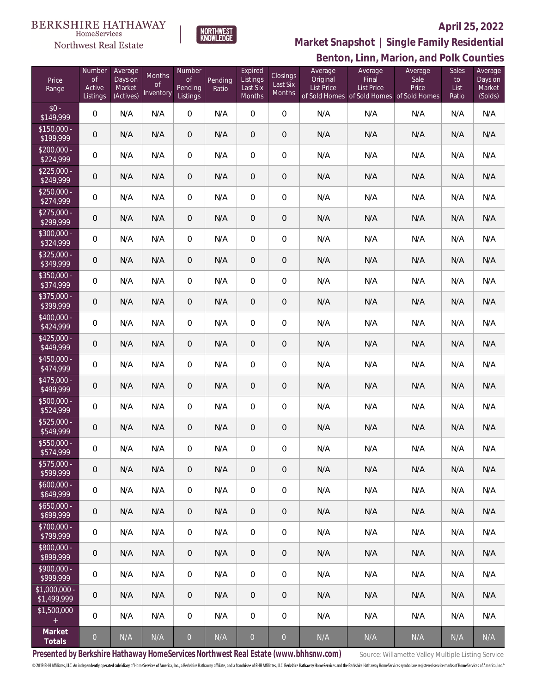#### **BERKSHIRE HATHAWAY**  $\label{lem:sevices} \textsc{Home} \textsc{Service} \textsc{s}$

Northwest Real Estate



### **April 25, 2022**

**Benton, Linn, Marion, and Polk Counties Market Snapshot | Single Family Residential**

| Price<br>Range                | Number<br><b>of</b><br>Active<br>Listings | Average<br>Days on<br>Market<br>(Actives) | <b>Months</b><br>0f<br>Inventory | Number<br><b>of</b><br>Pending<br>Listings | Pending<br>Ratio | Expired<br>Listings<br>Last Six<br>Months | Closings<br>Last Six<br>Months | Average<br>Original<br>List Price | Average<br>Final<br>List Price<br>of Sold Homes of Sold Homes of Sold Homes | Average<br>Sale<br>Price | Sales<br>to<br>List<br>Ratio | Average<br>Days on<br>Market<br>(Solds) |
|-------------------------------|-------------------------------------------|-------------------------------------------|----------------------------------|--------------------------------------------|------------------|-------------------------------------------|--------------------------------|-----------------------------------|-----------------------------------------------------------------------------|--------------------------|------------------------------|-----------------------------------------|
| $$0 -$<br>\$149,999           | $\mathbf 0$                               | N/A                                       | N/A                              | $\boldsymbol{0}$                           | N/A              | $\mathbf 0$                               | $\mathbf 0$                    | N/A                               | N/A                                                                         | N/A                      | N/A                          | N/A                                     |
| $$150,000 -$<br>\$199,999     | $\mathsf{O}\xspace$                       | N/A                                       | N/A                              | 0                                          | N/A              | $\mathbf 0$                               | $\mathbf 0$                    | N/A                               | N/A                                                                         | N/A                      | N/A                          | N/A                                     |
| $$200,000 -$<br>\$224,999     | $\mathbf 0$                               | N/A                                       | N/A                              | $\boldsymbol{0}$                           | N/A              | $\mathbf 0$                               | $\boldsymbol{0}$               | N/A                               | N/A                                                                         | N/A                      | N/A                          | N/A                                     |
| $$225,000 -$<br>\$249,999     | 0                                         | N/A                                       | N/A                              | 0                                          | N/A              | $\overline{0}$                            | $\mathbf 0$                    | N/A                               | N/A                                                                         | N/A                      | N/A                          | N/A                                     |
| $$250,000 -$<br>\$274,999     | $\mathbf 0$                               | N/A                                       | N/A                              | $\boldsymbol{0}$                           | N/A              | $\mathbf 0$                               | $\boldsymbol{0}$               | N/A                               | N/A                                                                         | N/A                      | N/A                          | N/A                                     |
| $$275,000 -$<br>\$299,999     | 0                                         | N/A                                       | N/A                              | 0                                          | N/A              | $\mathbf 0$                               | $\overline{0}$                 | N/A                               | N/A                                                                         | N/A                      | N/A                          | N/A                                     |
| $$300,000 -$<br>\$324,999     | $\mathbf 0$                               | N/A                                       | N/A                              | $\boldsymbol{0}$                           | N/A              | $\mathbf 0$                               | $\boldsymbol{0}$               | N/A                               | N/A                                                                         | N/A                      | N/A                          | N/A                                     |
| $$325,000 -$<br>\$349,999     | 0                                         | N/A                                       | N/A                              | 0                                          | N/A              | $\mathbf 0$                               | $\overline{0}$                 | N/A                               | N/A                                                                         | N/A                      | N/A                          | N/A                                     |
| $$350,000 -$<br>\$374,999     | $\mathbf 0$                               | N/A                                       | N/A                              | $\boldsymbol{0}$                           | N/A              | $\mathbf 0$                               | $\boldsymbol{0}$               | N/A                               | N/A                                                                         | N/A                      | N/A                          | N/A                                     |
| $$375,000 -$<br>\$399,999     | 0                                         | N/A                                       | N/A                              | 0                                          | N/A              | $\mathbf 0$                               | $\mathbf 0$                    | N/A                               | N/A                                                                         | N/A                      | N/A                          | N/A                                     |
| $$400,000 -$<br>\$424,999     | $\mathbf 0$                               | N/A                                       | N/A                              | $\boldsymbol{0}$                           | N/A              | $\mathbf 0$                               | $\boldsymbol{0}$               | N/A                               | N/A                                                                         | N/A                      | N/A                          | N/A                                     |
| $$425,000 -$<br>\$449,999     | 0                                         | N/A                                       | N/A                              | $\theta$                                   | N/A              | $\mathbf 0$                               | $\boldsymbol{0}$               | N/A                               | N/A                                                                         | N/A                      | N/A                          | N/A                                     |
| $$450,000 -$<br>\$474,999     | $\mathbf 0$                               | N/A                                       | N/A                              | $\boldsymbol{0}$                           | N/A              | $\mathbf 0$                               | $\boldsymbol{0}$               | N/A                               | N/A                                                                         | N/A                      | N/A                          | N/A                                     |
| $$475,000 -$<br>\$499,999     | 0                                         | N/A                                       | N/A                              | 0                                          | N/A              | $\mathbf 0$                               | $\mathbf 0$                    | N/A                               | N/A                                                                         | N/A                      | N/A                          | N/A                                     |
| \$500,000 -<br>\$524,999      | $\mathbf 0$                               | N/A                                       | N/A                              | $\boldsymbol{0}$                           | N/A              | $\mathbf 0$                               | $\boldsymbol{0}$               | N/A                               | N/A                                                                         | N/A                      | N/A                          | N/A                                     |
| $$525,000 -$<br>\$549,999     | 0                                         | N/A                                       | N/A                              | 0                                          | N/A              | $\mathbf 0$                               | $\boldsymbol{0}$               | N/A                               | N/A                                                                         | N/A                      | N/A                          | N/A                                     |
| \$550,000 -<br>\$574,999      | 0                                         | N/A                                       | N/A                              | 0                                          | N/A              | $\mathbf 0$                               | $\mathbf 0$                    | N/A                               | N/A                                                                         | N/A                      | N/A                          | N/A                                     |
| $$575,000 -$<br>\$599,999     | 0                                         | N/A                                       | N/A                              | $\mathbf 0$                                | N/A              | $\mathbf 0$                               | $\mathbf 0$                    | N/A                               | N/A                                                                         | N/A                      | N/A                          | N/A                                     |
| $$600,000 -$<br>\$649,999     | $\mathbf 0$                               | N/A                                       | N/A                              | $\,0\,$                                    | N/A              | $\mathbf 0$                               | $\mathbf 0$                    | N/A                               | N/A                                                                         | N/A                      | N/A                          | N/A                                     |
| $$650,000 -$<br>\$699,999     | $\mathbf 0$                               | N/A                                       | N/A                              | $\overline{0}$                             | N/A              | $\mathbf 0$                               | $\mathbf 0$                    | N/A                               | N/A                                                                         | N/A                      | N/A                          | N/A                                     |
| $$700,000 -$<br>\$799,999     | 0                                         | N/A                                       | N/A                              | $\,0\,$                                    | N/A              | $\mathbf 0$                               | $\mathbf 0$                    | N/A                               | N/A                                                                         | N/A                      | N/A                          | N/A                                     |
| \$800,000 -<br>\$899,999      | 0                                         | N/A                                       | N/A                              | $\overline{0}$                             | N/A              | $\mathbf{0}$                              | $\mathbf 0$                    | N/A                               | N/A                                                                         | N/A                      | N/A                          | N/A                                     |
| $$900,000 -$<br>\$999,999     | 0                                         | N/A                                       | N/A                              | $\,0\,$                                    | N/A              | $\mathbf 0$                               | $\mathbf 0$                    | N/A                               | N/A                                                                         | N/A                      | N/A                          | N/A                                     |
| $$1,000,000 -$<br>\$1,499,999 | 0                                         | N/A                                       | N/A                              | $\overline{0}$                             | N/A              | $\mathbf{0}$                              | $\overline{0}$                 | N/A                               | N/A                                                                         | N/A                      | N/A                          | N/A                                     |
| \$1,500,000<br>$\pm$          | $\mathbf 0$                               | N/A                                       | N/A                              | $\overline{0}$                             | N/A              | $\mathbf 0$                               | $\mathbf 0$                    | N/A                               | N/A                                                                         | N/A                      | N/A                          | N/A                                     |
| Market<br>Totals              | $\boldsymbol{0}$                          | N/A                                       | N/A                              | $\overline{0}$                             | N/A              | $\boldsymbol{0}$                          | $\overline{0}$                 | N/A                               | N/A                                                                         | N/A                      | N/A                          | N/A                                     |

Presented by Berkshire Hathaway HomeServices Northwest Real Estate (www.bhhsnw.com) source: Willamette Valley Multiple Listing Service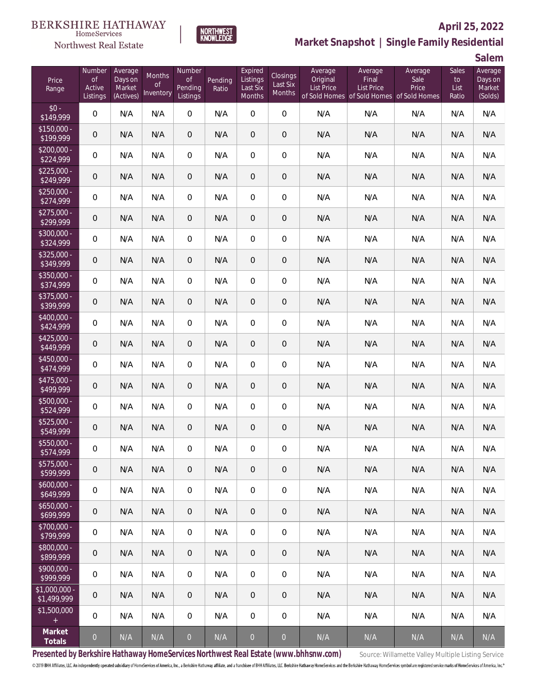#### **BERKSHIRE HATHAWAY** HomeServices





## **April 25, 2022 Market Snapshot | Single Family Residential**

**Salem**

| Price<br>Range                   | Number<br><b>of</b><br>Active<br>Listings | Average<br>Days on<br>Market<br>(Actives) | Months<br><sub>of</sub><br>Inventory | Number<br><b>of</b><br><b>Pending</b><br>Listings | Pending<br>Ratio | Expired<br>Listings<br>Last Six<br>Months | Closings<br>Last Six<br><b>Months</b> | Average<br>Original<br><b>List Price</b> | Average<br>Final<br><b>List Price</b><br>of Sold Homes of Sold Homes of Sold Homes | Average<br>Sale<br>Price | Sales<br>to<br>List<br>Ratio | Average<br>Days on<br>Market<br>(Solds) |
|----------------------------------|-------------------------------------------|-------------------------------------------|--------------------------------------|---------------------------------------------------|------------------|-------------------------------------------|---------------------------------------|------------------------------------------|------------------------------------------------------------------------------------|--------------------------|------------------------------|-----------------------------------------|
| $$0 -$<br>\$149,999              | $\overline{0}$                            | N/A                                       | N/A                                  | $\boldsymbol{0}$                                  | N/A              | 0                                         | $\boldsymbol{0}$                      | N/A                                      | N/A                                                                                | N/A                      | N/A                          | N/A                                     |
| $$150,000 -$<br>\$199,999        | $\mathsf{O}\xspace$                       | N/A                                       | N/A                                  | $\theta$                                          | N/A              | 0                                         | $\mathbf 0$                           | N/A                                      | N/A                                                                                | N/A                      | N/A                          | N/A                                     |
| $$200,000 -$<br>\$224,999        | 0                                         | N/A                                       | N/A                                  | $\mathbf{0}$                                      | N/A              | 0                                         | 0                                     | N/A                                      | N/A                                                                                | N/A                      | N/A                          | N/A                                     |
| $$225,000 -$<br>\$249,999        | $\mathsf{O}\xspace$                       | N/A                                       | N/A                                  | $\theta$                                          | N/A              | 0                                         | $\mathbf 0$                           | N/A                                      | N/A                                                                                | N/A                      | N/A                          | N/A                                     |
| $$250,000 -$<br>\$274,999        | $\overline{0}$                            | N/A                                       | N/A                                  | 0                                                 | N/A              | 0                                         | $\mathbf 0$                           | N/A                                      | N/A                                                                                | N/A                      | N/A                          | N/A                                     |
| $$275,000 -$<br>\$299,999        | $\mathsf{O}\xspace$                       | N/A                                       | N/A                                  | $\theta$                                          | N/A              | 0                                         | $\mathbf 0$                           | N/A                                      | N/A                                                                                | N/A                      | N/A                          | N/A                                     |
| $$300,000 -$<br>\$324,999        | $\mathbf 0$                               | N/A                                       | N/A                                  | 0                                                 | N/A              | 0                                         | $\mathbf 0$                           | N/A                                      | N/A                                                                                | N/A                      | N/A                          | N/A                                     |
| $$325,000 -$<br>\$349,999        | 0                                         | N/A                                       | N/A                                  | $\theta$                                          | N/A              | 0                                         | $\mathbf 0$                           | N/A                                      | N/A                                                                                | N/A                      | N/A                          | N/A                                     |
| $\sqrt{$350,000}$ -<br>\$374,999 | 0                                         | N/A                                       | N/A                                  | 0                                                 | N/A              | 0                                         | $\mathbf 0$                           | N/A                                      | N/A                                                                                | N/A                      | N/A                          | N/A                                     |
| $$375,000 -$<br>\$399,999        | $\mathsf{O}\xspace$                       | N/A                                       | N/A                                  | $\theta$                                          | N/A              | 0                                         | 0                                     | N/A                                      | N/A                                                                                | N/A                      | N/A                          | N/A                                     |
| $$400.000 -$<br>\$424,999        | $\mathbf 0$                               | N/A                                       | N/A                                  | $\boldsymbol{0}$                                  | N/A              | 0                                         | $\mathbf 0$                           | N/A                                      | N/A                                                                                | N/A                      | N/A                          | N/A                                     |
| $$425,000 -$<br>\$449,999        | $\mathbf 0$                               | N/A                                       | N/A                                  | $\theta$                                          | N/A              | 0                                         | $\mathbf 0$                           | N/A                                      | N/A                                                                                | N/A                      | N/A                          | N/A                                     |
| $$450,000 -$<br>\$474,999        | $\mathbf 0$                               | N/A                                       | N/A                                  | $\boldsymbol{0}$                                  | N/A              | 0                                         | $\mathbf 0$                           | N/A                                      | N/A                                                                                | N/A                      | N/A                          | N/A                                     |
| \$475,000 -<br>\$499,999         | $\mathbf 0$                               | N/A                                       | N/A                                  | $\theta$                                          | N/A              | 0                                         | $\mathbf 0$                           | N/A                                      | N/A                                                                                | N/A                      | N/A                          | N/A                                     |
| \$500,000 -<br>\$524,999         | $\overline{0}$                            | N/A                                       | N/A                                  | $\boldsymbol{0}$                                  | N/A              | 0                                         | $\mathbf 0$                           | N/A                                      | N/A                                                                                | N/A                      | N/A                          | N/A                                     |
| $$525,000 -$<br>\$549,999        | $\mathsf{O}\xspace$                       | N/A                                       | N/A                                  | $\theta$                                          | N/A              | 0                                         | 0                                     | N/A                                      | N/A                                                                                | N/A                      | N/A                          | N/A                                     |
| \$550,000 -<br>\$574,999         | 0                                         | N/A                                       | N/A                                  | 0                                                 | N/A              | 0                                         | 0                                     | N/A                                      | N/A                                                                                | N/A                      | N/A                          | N/A                                     |
| \$575,000 -<br>\$599,999         | $\overline{0}$                            | N/A                                       | N/A                                  | $\theta$                                          | N/A              | 0                                         | $\overline{0}$                        | N/A                                      | N/A                                                                                | N/A                      | N/A                          | N/A                                     |
| $$600,000 -$<br>\$649,999        | $\mathbf 0$                               | N/A                                       | N/A                                  | $\overline{0}$                                    | N/A              | 0                                         | $\boldsymbol{0}$                      | N/A                                      | N/A                                                                                | N/A                      | N/A                          | N/A                                     |
| $$650,000 -$<br>\$699,999        | $\overline{0}$                            | N/A                                       | N/A                                  | $\overline{0}$                                    | N/A              | 0                                         | 0                                     | N/A                                      | N/A                                                                                | N/A                      | N/A                          | N/A                                     |
| $$700,000 -$<br>\$799,999        | $\mathbf 0$                               | N/A                                       | N/A                                  | $\overline{0}$                                    | N/A              | 0                                         | $\boldsymbol{0}$                      | N/A                                      | N/A                                                                                | N/A                      | N/A                          | N/A                                     |
| \$800,000 -<br>\$899,999         | $\overline{0}$                            | N/A                                       | N/A                                  | $\overline{0}$                                    | N/A              | 0                                         | 0                                     | N/A                                      | N/A                                                                                | N/A                      | N/A                          | N/A                                     |
| $$900,000 -$<br>\$999,999        | $\overline{0}$                            | N/A                                       | N/A                                  | $\overline{0}$                                    | N/A              | 0                                         | 0                                     | N/A                                      | N/A                                                                                | N/A                      | N/A                          | N/A                                     |
| $$1,000,000$ -<br>\$1,499,999    | $\overline{0}$                            | N/A                                       | N/A                                  | $\overline{0}$                                    | N/A              | 0                                         | 0                                     | N/A                                      | N/A                                                                                | N/A                      | N/A                          | N/A                                     |
| \$1,500,000<br>$+$               | $\mathbf 0$                               | N/A                                       | N/A                                  | 0                                                 | N/A              | 0                                         | 0                                     | N/A                                      | N/A                                                                                | N/A                      | N/A                          | N/A                                     |
| Market<br>Totals                 | $\boldsymbol{0}$                          | N/A                                       | N/A                                  | $\overline{0}$                                    | N/A              | $\overline{0}$                            | $\overline{O}$                        | N/A                                      | N/A                                                                                | N/A                      | N/A                          | N/A                                     |

Presented by Berkshire Hathaway HomeServices Northwest Real Estate (www.bhhsnw.com) source: Willamette Valley Multiple Listing Service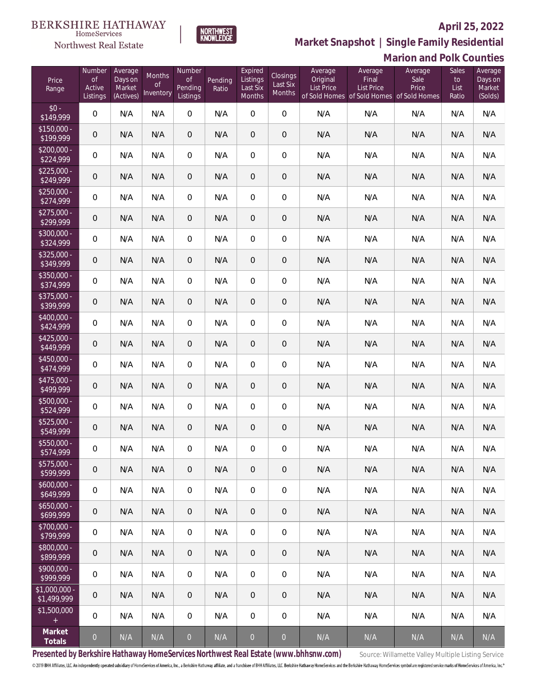

**Market Snapshot | Single Family Residential**

#### $\label{lem:sevices} \textsc{Home} \textsc{Service} \textsc{s}$ Northwest Real Estate

|                              |                                           |                                           |                                  |                                     |                  |                                           |                                       |                                          |                                                                                    | <b>Marion and Polk Counties</b> |                              |                                         |
|------------------------------|-------------------------------------------|-------------------------------------------|----------------------------------|-------------------------------------|------------------|-------------------------------------------|---------------------------------------|------------------------------------------|------------------------------------------------------------------------------------|---------------------------------|------------------------------|-----------------------------------------|
| Price<br>Range               | Number<br>$\circ f$<br>Active<br>Listings | Average<br>Days on<br>Market<br>(Actives) | Months<br><b>of</b><br>Inventory | Number<br>Οf<br>Pending<br>Listings | Pending<br>Ratio | Expired<br>Listings<br>Last Six<br>Months | Closings<br>Last Six<br><b>Months</b> | Average<br>Original<br><b>List Price</b> | Average<br>Final<br><b>List Price</b><br>of Sold Homes of Sold Homes of Sold Homes | Average<br>Sale<br>Price        | Sales<br>to<br>List<br>Ratio | Average<br>Days on<br>Market<br>(Solds) |
| $$0 -$<br>\$149,999          | 0                                         | N/A                                       | N/A                              | $\boldsymbol{0}$                    | N/A              | $\overline{0}$                            | 0                                     | N/A                                      | N/A                                                                                | N/A                             | N/A                          | N/A                                     |
| $$150,000 -$<br>\$199,999    | 0                                         | N/A                                       | N/A                              | $\overline{0}$                      | N/A              | $\overline{0}$                            | 0                                     | N/A                                      | N/A                                                                                | N/A                             | N/A                          | N/A                                     |
| $$200,000 -$<br>\$224,999    | 0                                         | N/A                                       | N/A                              | $\overline{0}$                      | N/A              | $\mathbf{0}$                              | 0                                     | N/A                                      | N/A                                                                                | N/A                             | N/A                          | N/A                                     |
| $$225,000 -$<br>\$249,999    | 0                                         | N/A                                       | N/A                              | $\overline{0}$                      | N/A              | $\overline{0}$                            | 0                                     | N/A                                      | N/A                                                                                | N/A                             | N/A                          | N/A                                     |
| $$250,000 -$<br>\$274,999    | 0                                         | N/A                                       | N/A                              | $\overline{0}$                      | N/A              | $\mathbf{0}$                              | 0                                     | N/A                                      | N/A                                                                                | N/A                             | N/A                          | N/A                                     |
| $$275,000 -$<br>\$299,999    | 0                                         | N/A                                       | N/A                              | $\overline{0}$                      | N/A              | $\theta$                                  | 0                                     | N/A                                      | N/A                                                                                | N/A                             | N/A                          | N/A                                     |
| $$300,000 -$<br>\$324,999    | 0                                         | N/A                                       | N/A                              | $\overline{0}$                      | N/A              | $\overline{0}$                            | 0                                     | N/A                                      | N/A                                                                                | N/A                             | N/A                          | N/A                                     |
| $$325,000 -$<br>\$349,999    | 0                                         | N/A                                       | N/A                              | $\overline{0}$                      | N/A              | $\mathbf 0$                               | 0                                     | N/A                                      | N/A                                                                                | N/A                             | N/A                          | N/A                                     |
| $$350,000 -$<br>\$374,999    | 0                                         | N/A                                       | N/A                              | $\overline{0}$                      | N/A              | $\mathbf{0}$                              | 0                                     | N/A                                      | N/A                                                                                | N/A                             | N/A                          | N/A                                     |
| $$375,000 -$<br>\$399,999    | 0                                         | N/A                                       | N/A                              | $\overline{0}$                      | N/A              | $\overline{0}$                            | 0                                     | N/A                                      | N/A                                                                                | N/A                             | N/A                          | N/A                                     |
| $$400.000 -$<br>\$424,999    | 0                                         | N/A                                       | N/A                              | $\overline{0}$                      | N/A              | $\overline{0}$                            | 0                                     | N/A                                      | N/A                                                                                | N/A                             | N/A                          | N/A                                     |
| $$425,000 -$<br>\$449,999    | $\mathbf 0$                               | N/A                                       | N/A                              | $\overline{0}$                      | N/A              | $\mathbf{0}$                              | 0                                     | N/A                                      | N/A                                                                                | N/A                             | N/A                          | N/A                                     |
| \$450,000 -<br>\$474,999     | 0                                         | N/A                                       | N/A                              | $\overline{0}$                      | N/A              | $\overline{0}$                            | 0                                     | N/A                                      | N/A                                                                                | N/A                             | N/A                          | N/A                                     |
| $$475,000 -$<br>\$499,999    | $\mathbf 0$                               | N/A                                       | N/A                              | $\overline{0}$                      | N/A              | $\overline{0}$                            | 0                                     | N/A                                      | N/A                                                                                | N/A                             | N/A                          | N/A                                     |
| \$500,000 -<br>\$524,999     | 0                                         | N/A                                       | N/A                              | $\overline{0}$                      | N/A              | $\boldsymbol{0}$                          | 0                                     | N/A                                      | N/A                                                                                | N/A                             | N/A                          | N/A                                     |
| \$525,000 -<br>\$549,999     | 0                                         | N/A                                       | N/A                              | $\overline{0}$                      | N/A              | $\mathbf 0$                               | $\mathbf 0$                           | N/A                                      | N/A                                                                                | N/A                             | N/A                          | N/A                                     |
| \$550,000 -<br>\$574,999     | 0                                         | N/A                                       | N/A                              | 0                                   | N/A              | $\mathbf{0}$                              | 0                                     | N/A                                      | N/A                                                                                | N/A                             | N/A                          | N/A                                     |
| $$575,000 -$<br>\$599,999    | 0                                         | N/A                                       | N/A                              | $\overline{0}$                      | N/A              | $\overline{0}$                            | 0                                     | N/A                                      | N/A                                                                                | N/A                             | N/A                          | N/A                                     |
| $$600,000 -$<br>\$649,999    | 0                                         | N/A                                       | N/A                              | $\overline{0}$                      | N/A              | $\overline{0}$                            | 0                                     | N/A                                      | N/A                                                                                | N/A                             | N/A                          | N/A                                     |
| $$650,000 -$<br>\$699,999    | 0                                         | N/A                                       | N/A                              | $\overline{0}$                      | N/A              | $\overline{0}$                            | 0                                     | N/A                                      | N/A                                                                                | N/A                             | N/A                          | N/A                                     |
| $$700,000 -$<br>\$799,999    | 0                                         | N/A                                       | N/A                              | $\overline{0}$                      | N/A              | $\mathbf{0}$                              | 0                                     | N/A                                      | N/A                                                                                | N/A                             | N/A                          | N/A                                     |
| \$800,000 -<br>\$899,999     | 0                                         | N/A                                       | N/A                              | $\overline{0}$                      | N/A              | $\overline{0}$                            | 0                                     | N/A                                      | N/A                                                                                | N/A                             | N/A                          | N/A                                     |
| $$900,000 -$<br>\$999,999    | 0                                         | N/A                                       | N/A                              | $\overline{0}$                      | N/A              | $\mathbf{0}$                              | 0                                     | N/A                                      | N/A                                                                                | N/A                             | N/A                          | N/A                                     |
| \$1,000,000 -<br>\$1,499,999 | 0                                         | N/A                                       | N/A                              | $\overline{0}$                      | N/A              | $\overline{0}$                            | 0                                     | N/A                                      | N/A                                                                                | N/A                             | N/A                          | N/A                                     |
| \$1,500,000                  | 0                                         | N/A                                       | N/A                              | $\overline{0}$                      | N/A              | $\boldsymbol{0}$                          | 0                                     | N/A                                      | N/A                                                                                | N/A                             | N/A                          | N/A                                     |
| Market<br>Totals             | $\overline{O}$                            | N/A                                       | N/A                              | $\overline{0}$                      | N/A              | $\overline{O}$                            | $\overline{0}$                        | N/A                                      | N/A                                                                                | N/A                             | N/A                          | N/A                                     |

Presented by Berkshire Hathaway HomeServices Northwest Real Estate (www.bhhsnw.com) source: Willamette Valley Multiple Listing Service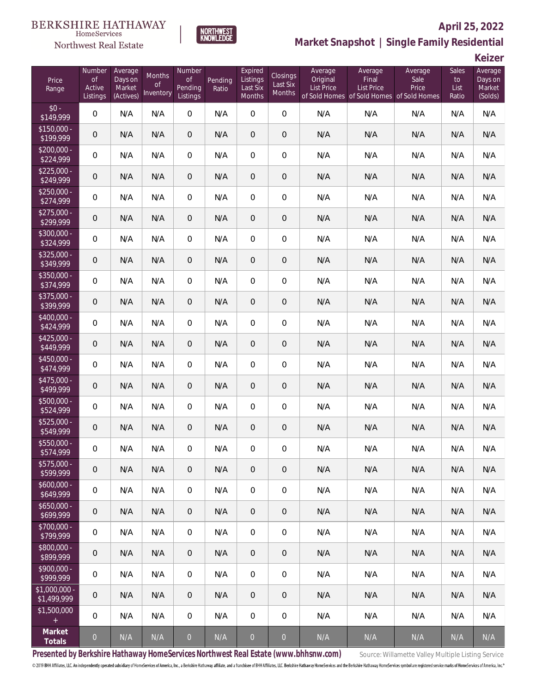#### **BERKSHIRE HATHAWAY**  $\label{lem:sevices} \textsc{Home} \textsc{Service} \textsc{s}$





## **April 25, 2022 Market Snapshot | Single Family Residential**

**Keizer**

| Price<br>Range                | Number<br><b>of</b><br>Active<br>Listings | Average<br>Days on<br>Market<br>(Actives) | Months<br><sub>of</sub><br>Inventory | Number<br><b>of</b><br>Pending<br>Listings | Pending<br>Ratio | Expired<br>Listings<br>Last Six<br>Months | Closings<br>Last Six<br>Months | Average<br>Original<br><b>List Price</b> | Average<br>Final<br><b>List Price</b><br>of Sold Homes of Sold Homes of Sold Homes | Average<br>Sale<br>Price | Sales<br>to<br>List<br>Ratio | Average<br>Days on<br>Market<br>(Solds) |
|-------------------------------|-------------------------------------------|-------------------------------------------|--------------------------------------|--------------------------------------------|------------------|-------------------------------------------|--------------------------------|------------------------------------------|------------------------------------------------------------------------------------|--------------------------|------------------------------|-----------------------------------------|
| $$0 -$<br>\$149,999           | $\overline{0}$                            | N/A                                       | N/A                                  | $\boldsymbol{0}$                           | N/A              | $\overline{0}$                            | $\boldsymbol{0}$               | N/A                                      | N/A                                                                                | N/A                      | N/A                          | N/A                                     |
| $$150,000 -$<br>\$199,999     | $\mathbf 0$                               | N/A                                       | N/A                                  | $\theta$                                   | N/A              | $\theta$                                  | $\theta$                       | N/A                                      | N/A                                                                                | N/A                      | N/A                          | N/A                                     |
| $$200,000 -$<br>\$224,999     | $\overline{0}$                            | N/A                                       | N/A                                  | 0                                          | N/A              | $\mathbf{0}$                              | 0                              | N/A                                      | N/A                                                                                | N/A                      | N/A                          | N/A                                     |
| $$225,000 -$<br>\$249,999     | $\mathbf 0$                               | N/A                                       | N/A                                  | $\theta$                                   | N/A              | $\theta$                                  | $\theta$                       | N/A                                      | N/A                                                                                | N/A                      | N/A                          | N/A                                     |
| $$250,000 -$<br>\$274,999     | $\overline{0}$                            | N/A                                       | N/A                                  | 0                                          | N/A              | $\mathbf 0$                               | $\mathbf 0$                    | N/A                                      | N/A                                                                                | N/A                      | N/A                          | N/A                                     |
| $$275,000 -$<br>\$299,999     | $\mathbf 0$                               | N/A                                       | N/A                                  | $\overline{0}$                             | N/A              | $\theta$                                  | $\theta$                       | N/A                                      | N/A                                                                                | N/A                      | N/A                          | N/A                                     |
| $$300,000 -$<br>\$324,999     | $\overline{0}$                            | N/A                                       | N/A                                  | 0                                          | N/A              | $\mathbf 0$                               | $\boldsymbol{0}$               | N/A                                      | N/A                                                                                | N/A                      | N/A                          | N/A                                     |
| $$325,000 -$<br>\$349,999     | $\mathbf 0$                               | N/A                                       | N/A                                  | $\theta$                                   | N/A              | $\theta$                                  | $\theta$                       | N/A                                      | N/A                                                                                | N/A                      | N/A                          | N/A                                     |
| \$350,000 -<br>\$374,999      | $\overline{0}$                            | N/A                                       | N/A                                  | 0                                          | N/A              | $\mathbf 0$                               | 0                              | N/A                                      | N/A                                                                                | N/A                      | N/A                          | N/A                                     |
| $$375,000 -$<br>\$399,999     | $\mathbf 0$                               | N/A                                       | N/A                                  | $\overline{0}$                             | N/A              | $\theta$                                  | $\theta$                       | N/A                                      | N/A                                                                                | N/A                      | N/A                          | N/A                                     |
| $$400.000 -$<br>\$424,999     | $\mathbf 0$                               | N/A                                       | N/A                                  | $\boldsymbol{0}$                           | N/A              | $\mathbf 0$                               | $\mathbf 0$                    | N/A                                      | N/A                                                                                | N/A                      | N/A                          | N/A                                     |
| $$425,000 -$<br>\$449,999     | $\mathbf 0$                               | N/A                                       | N/A                                  | $\boldsymbol{0}$                           | N/A              | $\mathbf 0$                               | $\,0\,$                        | N/A                                      | N/A                                                                                | N/A                      | N/A                          | N/A                                     |
| $$450,000 -$<br>\$474,999     | $\mathbf 0$                               | N/A                                       | N/A                                  | $\boldsymbol{0}$                           | N/A              | $\mathbf 0$                               | $\mathbf 0$                    | N/A                                      | N/A                                                                                | N/A                      | N/A                          | N/A                                     |
| \$475,000 -<br>\$499,999      | $\mathbf 0$                               | N/A                                       | N/A                                  | $\boldsymbol{0}$                           | N/A              | $\mathbf 0$                               | $\theta$                       | N/A                                      | N/A                                                                                | N/A                      | N/A                          | N/A                                     |
| \$500,000 -<br>\$524,999      | $\mathbf 0$                               | N/A                                       | N/A                                  | $\mathbf 0$                                | N/A              | $\mathbf 0$                               | $\mathbf 0$                    | N/A                                      | N/A                                                                                | N/A                      | N/A                          | N/A                                     |
| $$525,000 -$<br>\$549,999     | 0                                         | N/A                                       | N/A                                  | $\theta$                                   | N/A              | $\theta$                                  | $\theta$                       | N/A                                      | N/A                                                                                | N/A                      | N/A                          | N/A                                     |
| \$550,000 -<br>\$574,999      | 0                                         | N/A                                       | N/A                                  | $\overline{0}$                             | N/A              | 0                                         | $\mathbf 0$                    | N/A                                      | N/A                                                                                | N/A                      | N/A                          | N/A                                     |
| \$575,000 -<br>\$599,999      | $\overline{0}$                            | N/A                                       | N/A                                  | $\overline{0}$                             | N/A              | $\theta$                                  | $\overline{0}$                 | N/A                                      | N/A                                                                                | N/A                      | N/A                          | N/A                                     |
| $$600,000 -$<br>\$649,999     | $\mathbf 0$                               | N/A                                       | N/A                                  | $\overline{0}$                             | N/A              | $\overline{0}$                            | 0                              | N/A                                      | N/A                                                                                | N/A                      | N/A                          | N/A                                     |
| $$650,000 -$<br>\$699,999     | $\overline{0}$                            | N/A                                       | N/A                                  | $\overline{0}$                             | N/A              | $\theta$                                  | $\overline{0}$                 | N/A                                      | N/A                                                                                | N/A                      | N/A                          | N/A                                     |
| \$700,000 -<br>\$799,999      | $\overline{0}$                            | N/A                                       | N/A                                  | $\overline{0}$                             | N/A              | $\mathbf{0}$                              | 0                              | N/A                                      | N/A                                                                                | N/A                      | N/A                          | N/A                                     |
| \$800,000 -<br>\$899,999      | $\overline{0}$                            | N/A                                       | N/A                                  | $\overline{0}$                             | N/A              | $\theta$                                  | $\overline{0}$                 | N/A                                      | N/A                                                                                | N/A                      | N/A                          | N/A                                     |
| $$900,000 -$<br>\$999,999     | $\overline{0}$                            | N/A                                       | N/A                                  | $\overline{0}$                             | N/A              | $\mathbf{0}$                              | 0                              | N/A                                      | N/A                                                                                | N/A                      | N/A                          | N/A                                     |
| $$1,000,000$ -<br>\$1,499,999 | $\overline{0}$                            | N/A                                       | N/A                                  | $\overline{0}$                             | N/A              | $\theta$                                  | $\overline{0}$                 | N/A                                      | N/A                                                                                | N/A                      | N/A                          | N/A                                     |
| \$1,500,000<br>$+$            | $\mathbf 0$                               | N/A                                       | N/A                                  | $\mathbf 0$                                | N/A              | $\mathbf 0$                               | 0                              | N/A                                      | N/A                                                                                | N/A                      | N/A                          | N/A                                     |
| Market<br>Totals              | $\boldsymbol{0}$                          | N/A                                       | N/A                                  | $\overline{0}$                             | N/A              | $\overline{0}$                            | $\overline{0}$                 | N/A                                      | N/A                                                                                | N/A                      | N/A                          | N/A                                     |

Presented by Berkshire Hathaway HomeServices Northwest Real Estate (www.bhhsnw.com) source: Willamette Valley Multiple Listing Service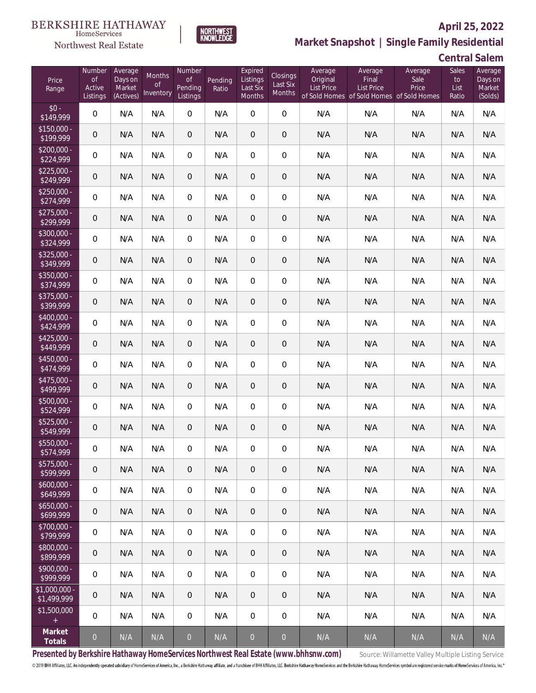

Northwest Real Estate

# **Market Snapshot | Single Family Residential**

**Central Salem**

| Price<br>Range                | Number<br>of<br>Active<br>Listings | Average<br>Days on<br>Market<br>(Actives) | Months<br><b>of</b><br>Inventory | Number<br><b>of</b><br>Pending<br>Listings | Pending<br>Ratio | Expired<br>Listings<br>Last Six<br>Months | <b>Closings</b><br>Last Six<br>Months | Average<br>Original<br>List Price | Average<br>Final<br>List Price<br>of Sold Homes of Sold Homes of Sold Homes | Average<br>Sale<br>Price | Sales<br>to<br>List<br>Ratio | Average<br>Days on<br>Market<br>(Solds) |
|-------------------------------|------------------------------------|-------------------------------------------|----------------------------------|--------------------------------------------|------------------|-------------------------------------------|---------------------------------------|-----------------------------------|-----------------------------------------------------------------------------|--------------------------|------------------------------|-----------------------------------------|
| $$0 -$<br>\$149,999           | $\boldsymbol{0}$                   | N/A                                       | N/A                              | $\overline{0}$                             | N/A              | $\overline{0}$                            | $\overline{0}$                        | N/A                               | N/A                                                                         | N/A                      | N/A                          | N/A                                     |
| $$150.000 -$<br>\$199,999     | 0                                  | N/A                                       | N/A                              | $\overline{0}$                             | N/A              | $\overline{0}$                            | $\theta$                              | N/A                               | N/A                                                                         | N/A                      | N/A                          | N/A                                     |
| $$200,000 -$<br>\$224,999     | 0                                  | N/A                                       | N/A                              | $\overline{0}$                             | N/A              | $\overline{0}$                            | $\mathbf 0$                           | N/A                               | N/A                                                                         | N/A                      | N/A                          | N/A                                     |
| $$225,000 -$<br>\$249,999     | 0                                  | N/A                                       | N/A                              | $\overline{0}$                             | N/A              | $\overline{0}$                            | $\theta$                              | N/A                               | N/A                                                                         | N/A                      | N/A                          | N/A                                     |
| $$250,000 -$<br>\$274,999     | 0                                  | N/A                                       | N/A                              | $\overline{0}$                             | N/A              | $\overline{0}$                            | $\mathbf 0$                           | N/A                               | N/A                                                                         | N/A                      | N/A                          | N/A                                     |
| $$275,000 -$<br>\$299,999     | 0                                  | N/A                                       | N/A                              | $\overline{0}$                             | N/A              | $\overline{0}$                            | $\mathbf 0$                           | N/A                               | N/A                                                                         | N/A                      | N/A                          | N/A                                     |
| \$300,000 -<br>\$324,999      | $\boldsymbol{0}$                   | N/A                                       | N/A                              | $\overline{0}$                             | N/A              | $\overline{0}$                            | $\mathbf 0$                           | N/A                               | N/A                                                                         | N/A                      | N/A                          | N/A                                     |
| $$325,000 -$<br>\$349,999     | 0                                  | N/A                                       | N/A                              | $\overline{0}$                             | N/A              | $\overline{0}$                            | $\mathbf 0$                           | N/A                               | N/A                                                                         | N/A                      | N/A                          | N/A                                     |
| \$350,000 -<br>\$374,999      | $\boldsymbol{0}$                   | N/A                                       | N/A                              | $\overline{0}$                             | N/A              | $\overline{0}$                            | $\mathbf 0$                           | N/A                               | N/A                                                                         | N/A                      | N/A                          | N/A                                     |
| \$375,000 -<br>\$399,999      | 0                                  | N/A                                       | N/A                              | $\overline{0}$                             | N/A              | $\overline{0}$                            | $\mathbf 0$                           | N/A                               | N/A                                                                         | N/A                      | N/A                          | N/A                                     |
| $$400,000 -$<br>\$424,999     | $\boldsymbol{0}$                   | N/A                                       | N/A                              | $\overline{0}$                             | N/A              | $\overline{0}$                            | $\mathbf 0$                           | N/A                               | N/A                                                                         | N/A                      | N/A                          | N/A                                     |
| $$425,000 -$<br>\$449,999     | 0                                  | N/A                                       | N/A                              | $\overline{0}$                             | N/A              | $\overline{0}$                            | $\mathbf 0$                           | N/A                               | N/A                                                                         | N/A                      | N/A                          | N/A                                     |
| \$450,000 -<br>\$474,999      | $\boldsymbol{0}$                   | N/A                                       | N/A                              | $\overline{0}$                             | N/A              | $\overline{0}$                            | $\mathbf 0$                           | N/A                               | N/A                                                                         | N/A                      | N/A                          | N/A                                     |
| \$475,000 -<br>\$499,999      | 0                                  | N/A                                       | N/A                              | $\overline{0}$                             | N/A              | $\overline{0}$                            | $\mathbf 0$                           | N/A                               | N/A                                                                         | N/A                      | N/A                          | N/A                                     |
| \$500,000 -<br>\$524,999      | $\boldsymbol{0}$                   | N/A                                       | N/A                              | $\overline{0}$                             | N/A              | $\overline{0}$                            | $\mathbf 0$                           | N/A                               | N/A                                                                         | N/A                      | N/A                          | N/A                                     |
| $$525,000 -$<br>\$549,999     | 0                                  | N/A                                       | N/A                              | $\mathbf 0$                                | N/A              | $\overline{0}$                            | $\mathbf 0$                           | N/A                               | N/A                                                                         | N/A                      | N/A                          | N/A                                     |
| \$550,000 -<br>\$574,999      | 0                                  | N/A                                       | N/A                              | 0                                          | N/A              | $\overline{0}$                            | $\mathbf 0$                           | N/A                               | N/A                                                                         | N/A                      | N/A                          | N/A                                     |
| $$575,000 -$<br>\$599,999     | $\theta$                           | N/A                                       | N/A                              | $\overline{0}$                             | N/A              | 0                                         | $\overline{0}$                        | N/A                               | N/A                                                                         | N/A                      | N/A                          | N/A                                     |
| $$600,000 -$<br>\$649,999     | 0                                  | N/A                                       | N/A                              | $\overline{0}$                             | N/A              | $\mathbf{0}$                              | $\mathbf 0$                           | N/A                               | N/A                                                                         | N/A                      | N/A                          | N/A                                     |
| $$650,000 -$<br>\$699,999     | $\mathbf 0$                        | N/A                                       | N/A                              | $\overline{0}$                             | N/A              | $\overline{0}$                            | $\sqrt{2}$                            | N/A                               | N/A                                                                         | N/A                      | N/A                          | N/A                                     |
| $$700,000 -$<br>\$799,999     | 0                                  | N/A                                       | N/A                              | $\overline{0}$                             | N/A              | $\overline{0}$                            | $\mathbf 0$                           | N/A                               | N/A                                                                         | N/A                      | N/A                          | N/A                                     |
| \$800,000 -<br>\$899,999      | $\mathbf 0$                        | N/A                                       | N/A                              | $\overline{0}$                             | N/A              | 0                                         | $\sqrt{2}$                            | N/A                               | N/A                                                                         | N/A                      | N/A                          | N/A                                     |
| $$900,000 -$<br>\$999,999     | 0                                  | N/A                                       | N/A                              | $\mathbf 0$                                | N/A              | $\overline{0}$                            | $\mathbf 0$                           | N/A                               | N/A                                                                         | N/A                      | N/A                          | N/A                                     |
| $$1,000,000 -$<br>\$1,499,999 | $\theta$                           | N/A                                       | N/A                              | $\overline{0}$                             | N/A              | $\overline{0}$                            | $\mathbf 0$                           | N/A                               | N/A                                                                         | N/A                      | N/A                          | N/A                                     |
| \$1,500,000<br>$\pm$          | 0                                  | N/A                                       | N/A                              | $\overline{0}$                             | N/A              | $\mathbf 0$                               | $\mathbf 0$                           | N/A                               | N/A                                                                         | N/A                      | N/A                          | N/A                                     |
| Market<br>Totals              | $\overline{0}$                     | N/A                                       | N/A                              | $\overline{0}$                             | N/A              | $\overline{0}$                            | $\overline{O}$                        | N/A                               | N/A                                                                         | N/A                      | N/A                          | N/A                                     |

**NORTHWEST**<br>KNOWLEDGE

Presented by Berkshire Hathaway HomeServices Northwest Real Estate (www.bhhsnw.com) source: Willamette Valley Multiple Listing Service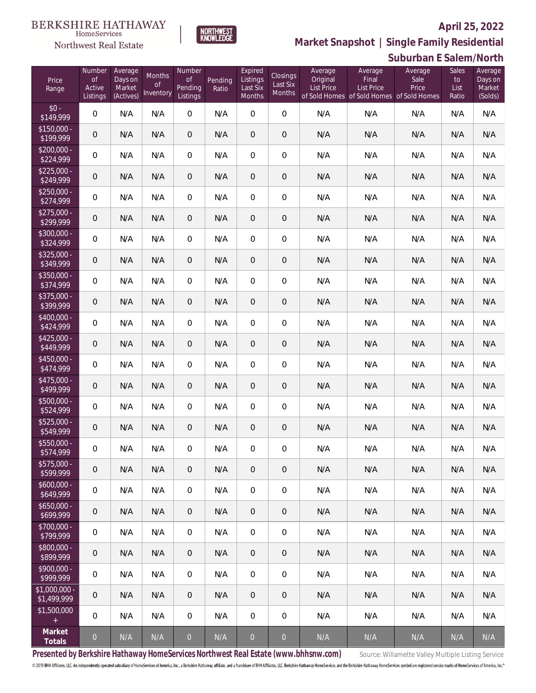**Suburban E Salem/North**



**Market Snapshot | Single Family Residential**

#### **BERKSHIRE HATHAWAY**  $\label{lem:sevices} \textsc{Home} \textsc{Service} \textsc{s}$ Northwest Real Estate

| Price<br>Range                | Number<br><b>of</b><br>Active<br>Listings | Average<br>Days on<br>Market<br>(Actives) | <b>Months</b><br><b>of</b><br>Inventory | Number<br><b>of</b><br>Pending<br>Listings | Pending<br>Ratio | Expired<br>Listings<br>Last Six<br>Months | Closings<br>Last Six<br>Months | Average<br>Original<br><b>List Price</b> | Average<br>Final<br><b>List Price</b><br>of Sold Homes of Sold Homes of Sold Homes | Average<br>Sale<br>Price | Sales<br>to<br>List<br>Ratio | Average<br>Days on<br>Market<br>(Solds) |
|-------------------------------|-------------------------------------------|-------------------------------------------|-----------------------------------------|--------------------------------------------|------------------|-------------------------------------------|--------------------------------|------------------------------------------|------------------------------------------------------------------------------------|--------------------------|------------------------------|-----------------------------------------|
| $$0 -$<br>\$149,999           | $\overline{0}$                            | N/A                                       | N/A                                     | $\overline{0}$                             | N/A              | $\overline{0}$                            | $\mathbf 0$                    | N/A                                      | N/A                                                                                | N/A                      | N/A                          | N/A                                     |
| $$150,000 -$<br>\$199,999     | $\overline{0}$                            | N/A                                       | N/A                                     | $\overline{0}$                             | N/A              | $\overline{0}$                            | $\boldsymbol{0}$               | N/A                                      | N/A                                                                                | N/A                      | N/A                          | N/A                                     |
| $$200,000 -$<br>\$224,999     | $\boldsymbol{0}$                          | N/A                                       | N/A                                     | $\overline{0}$                             | N/A              | $\overline{0}$                            | $\overline{0}$                 | N/A                                      | N/A                                                                                | N/A                      | N/A                          | N/A                                     |
| $$225,000 -$<br>\$249,999     | $\mathbf 0$                               | N/A                                       | N/A                                     | $\overline{0}$                             | N/A              | $\overline{0}$                            | $\overline{0}$                 | N/A                                      | N/A                                                                                | N/A                      | N/A                          | N/A                                     |
| $$250,000 -$<br>\$274,999     | $\boldsymbol{0}$                          | N/A                                       | N/A                                     | $\overline{0}$                             | N/A              | $\overline{0}$                            | $\boldsymbol{0}$               | N/A                                      | N/A                                                                                | N/A                      | N/A                          | N/A                                     |
| $$275,000 -$<br>\$299,999     | $\mathbf 0$                               | N/A                                       | N/A                                     | $\overline{0}$                             | N/A              | $\overline{0}$                            | $\overline{0}$                 | N/A                                      | N/A                                                                                | N/A                      | N/A                          | N/A                                     |
| $$300,000 -$<br>\$324,999     | $\boldsymbol{0}$                          | N/A                                       | N/A                                     | $\overline{0}$                             | N/A              | $\overline{0}$                            | $\boldsymbol{0}$               | N/A                                      | N/A                                                                                | N/A                      | N/A                          | N/A                                     |
| \$325,000 -<br>\$349,999      | $\mathbf 0$                               | N/A                                       | N/A                                     | $\overline{0}$                             | N/A              | $\overline{0}$                            | $\overline{0}$                 | N/A                                      | N/A                                                                                | N/A                      | N/A                          | N/A                                     |
| $$350,000 -$<br>\$374,999     | $\boldsymbol{0}$                          | N/A                                       | N/A                                     | $\overline{0}$                             | N/A              | $\overline{0}$                            | $\boldsymbol{0}$               | N/A                                      | N/A                                                                                | N/A                      | N/A                          | N/A                                     |
| $$375,000 -$<br>\$399,999     | $\mathbf 0$                               | N/A                                       | N/A                                     | $\overline{0}$                             | N/A              | $\overline{0}$                            | $\overline{0}$                 | N/A                                      | N/A                                                                                | N/A                      | N/A                          | N/A                                     |
| $$400,000 -$<br>\$424,999     | $\boldsymbol{0}$                          | N/A                                       | N/A                                     | $\overline{0}$                             | N/A              | $\overline{0}$                            | $\boldsymbol{0}$               | N/A                                      | N/A                                                                                | N/A                      | N/A                          | N/A                                     |
| $$425,000 -$<br>\$449,999     | $\mathbf 0$                               | N/A                                       | N/A                                     | $\overline{0}$                             | N/A              | $\overline{0}$                            | $\overline{0}$                 | N/A                                      | N/A                                                                                | N/A                      | N/A                          | N/A                                     |
| \$450,000 -<br>\$474,999      | $\boldsymbol{0}$                          | N/A                                       | N/A                                     | $\overline{0}$                             | N/A              | $\overline{0}$                            | $\boldsymbol{0}$               | N/A                                      | N/A                                                                                | N/A                      | N/A                          | N/A                                     |
| $$475,000 -$<br>\$499,999     | $\mathbf 0$                               | N/A                                       | N/A                                     | $\overline{0}$                             | N/A              | $\overline{0}$                            | $\overline{0}$                 | N/A                                      | N/A                                                                                | N/A                      | N/A                          | N/A                                     |
| \$500,000 -<br>\$524,999      | $\boldsymbol{0}$                          | N/A                                       | N/A                                     | $\overline{0}$                             | N/A              | $\overline{0}$                            | $\boldsymbol{0}$               | N/A                                      | N/A                                                                                | N/A                      | N/A                          | N/A                                     |
| $$525,000 -$<br>\$549,999     | $\mathbf 0$                               | N/A                                       | N/A                                     | $\overline{0}$                             | N/A              | $\overline{0}$                            | $\overline{0}$                 | N/A                                      | N/A                                                                                | N/A                      | N/A                          | N/A                                     |
| \$550,000 -<br>\$574,999      | $\boldsymbol{0}$                          | N/A                                       | N/A                                     | $\overline{0}$                             | N/A              | $\boldsymbol{0}$                          | $\boldsymbol{0}$               | N/A                                      | N/A                                                                                | N/A                      | N/A                          | N/A                                     |
| $$575,000 -$<br>\$599,999     | 0                                         | N/A                                       | N/A                                     | $\mathbf 0$                                | N/A              | $\mathbf 0$                               | $\,0\,$                        | N/A                                      | N/A                                                                                | N/A                      | N/A                          | N/A                                     |
| $$600,000 -$<br>\$649,999     | $\boldsymbol{0}$                          | N/A                                       | N/A                                     | $\boldsymbol{0}$                           | N/A              | $\mathbf 0$                               | $\mathbf 0$                    | N/A                                      | N/A                                                                                | N/A                      | N/A                          | N/A                                     |
| $$650,000 -$<br>\$699,999     | 0                                         | N/A                                       | N/A                                     | $\mathbf 0$                                | N/A              | $\,0\,$                                   | $\,0\,$                        | N/A                                      | N/A                                                                                | N/A                      | N/A                          | N/A                                     |
| \$700,000 -<br>\$799,999      | 0                                         | N/A                                       | N/A                                     | $\boldsymbol{0}$                           | N/A              | $\mathbf 0$                               | $\boldsymbol{0}$               | N/A                                      | N/A                                                                                | N/A                      | N/A                          | N/A                                     |
| $$800,000 -$<br>\$899,999     | 0                                         | N/A                                       | N/A                                     | $\mathbf 0$                                | N/A              | $\,0\,$                                   | $\,0\,$                        | N/A                                      | N/A                                                                                | N/A                      | N/A                          | N/A                                     |
| $$900,000 -$<br>\$999,999     | $\mathbf 0$                               | N/A                                       | N/A                                     | $\boldsymbol{0}$                           | N/A              | $\mathbf 0$                               | $\mathbf 0$                    | N/A                                      | N/A                                                                                | N/A                      | N/A                          | N/A                                     |
| $$1,000,000$ -<br>\$1,499,999 | $\mathbf 0$                               | N/A                                       | N/A                                     | $\mathbf 0$                                | N/A              | $\,0\,$                                   | $\,0\,$                        | N/A                                      | N/A                                                                                | N/A                      | N/A                          | N/A                                     |
| \$1,500,000<br>$\pm$          | $\mathbf 0$                               | N/A                                       | N/A                                     | $\,0\,$                                    | N/A              | $\mathbf 0$                               | $\mathbf 0$                    | N/A                                      | N/A                                                                                | N/A                      | N/A                          | N/A                                     |
| Market<br>Totals              | $\boldsymbol{0}$                          | N/A                                       | N/A                                     | $\overline{0}$                             | N/A              | $\overline{0}$                            | $\overline{0}$                 | N/A                                      | N/A                                                                                | N/A                      | N/A                          | N/A                                     |

Presented by Berkshire Hathaway HomeServices Northwest Real Estate (www.bhhsnw.com) source: Willamette Valley Multiple Listing Service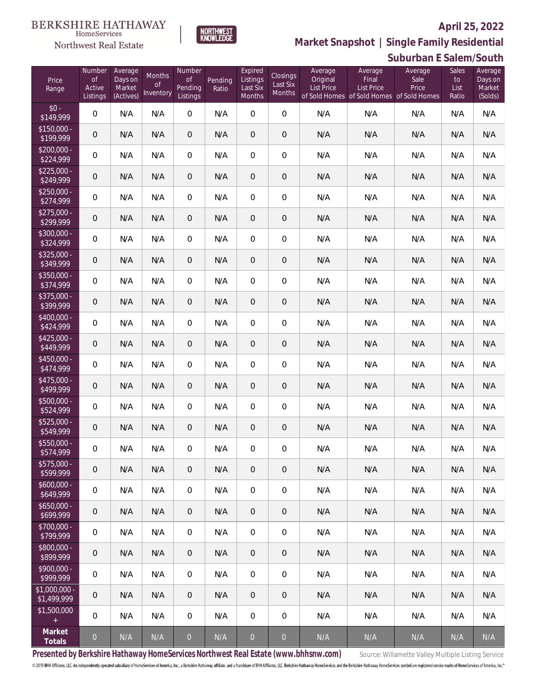**Suburban E Salem/South**



**Market Snapshot | Single Family Residential**

#### $\label{lem:sevices} \textsc{Home} \textsc{Service} \textsc{s}$ Northwest Real Estate

| Price<br>Range                | Number<br><b>of</b><br>Active<br>Listings | Average<br>Days on<br>Market<br>(Actives) | Months<br>0f<br>Inventory | Number<br><b>of</b><br>Pending<br>Listings | Pending<br>Ratio | Expired<br>Listings<br>Last Six<br><b>Months</b> | Closings<br>Last Six<br>Months | Average<br>Original<br><b>List Price</b> | Average<br>Final<br><b>List Price</b><br>of Sold Homes of Sold Homes of Sold Homes | Average<br>Sale<br>Price | Sales<br>to<br>List<br>Ratio | Average<br>Days on<br>Market<br>(Solds) |
|-------------------------------|-------------------------------------------|-------------------------------------------|---------------------------|--------------------------------------------|------------------|--------------------------------------------------|--------------------------------|------------------------------------------|------------------------------------------------------------------------------------|--------------------------|------------------------------|-----------------------------------------|
| $$0 -$<br>\$149,999           | 0                                         | N/A                                       | N/A                       | $\overline{0}$                             | N/A              | $\overline{0}$                                   | $\overline{0}$                 | N/A                                      | N/A                                                                                | N/A                      | N/A                          | N/A                                     |
| $$150,000 -$<br>\$199,999     | $\mathbf 0$                               | N/A                                       | N/A                       | $\theta$                                   | N/A              | $\overline{0}$                                   | $\overline{0}$                 | N/A                                      | N/A                                                                                | N/A                      | N/A                          | N/A                                     |
| $$200,000 -$<br>\$224,999     | 0                                         | N/A                                       | N/A                       | $\overline{0}$                             | N/A              | $\mathbf{0}$                                     | $\boldsymbol{0}$               | N/A                                      | N/A                                                                                | N/A                      | N/A                          | N/A                                     |
| $$225.000 -$<br>\$249,999     | $\mathbf 0$                               | N/A                                       | N/A                       | $\theta$                                   | N/A              | $\overline{0}$                                   | $\overline{0}$                 | N/A                                      | N/A                                                                                | N/A                      | N/A                          | N/A                                     |
| $$250.000 -$<br>\$274,999     | $\boldsymbol{0}$                          | N/A                                       | N/A                       | $\boldsymbol{0}$                           | N/A              | $\boldsymbol{0}$                                 | $\boldsymbol{0}$               | N/A                                      | N/A                                                                                | N/A                      | N/A                          | N/A                                     |
| $$275,000 -$<br>\$299,999     | $\mathbf 0$                               | N/A                                       | N/A                       | $\theta$                                   | N/A              | $\mathbf 0$                                      | $\boldsymbol{0}$               | N/A                                      | N/A                                                                                | N/A                      | N/A                          | N/A                                     |
| $$300,000 -$<br>\$324,999     | 0                                         | N/A                                       | N/A                       | $\boldsymbol{0}$                           | N/A              | $\mathbf 0$                                      | $\overline{0}$                 | N/A                                      | N/A                                                                                | N/A                      | N/A                          | N/A                                     |
| $$325,000 -$<br>\$349,999     | $\mathbf 0$                               | N/A                                       | N/A                       | $\theta$                                   | N/A              | $\overline{0}$                                   | $\boldsymbol{0}$               | N/A                                      | N/A                                                                                | N/A                      | N/A                          | N/A                                     |
| $$350,000 -$<br>\$374,999     | 0                                         | N/A                                       | N/A                       | $\boldsymbol{0}$                           | N/A              | $\mathbf 0$                                      | $\boldsymbol{0}$               | N/A                                      | N/A                                                                                | N/A                      | N/A                          | N/A                                     |
| $$375,000 -$<br>\$399,999     | $\mathbf 0$                               | N/A                                       | N/A                       | $\theta$                                   | N/A              | $\overline{0}$                                   | $\mathbf 0$                    | N/A                                      | N/A                                                                                | N/A                      | N/A                          | N/A                                     |
| $$400,000 -$<br>\$424,999     | $\boldsymbol{0}$                          | N/A                                       | N/A                       | $\boldsymbol{0}$                           | N/A              | $\mathbf 0$                                      | $\boldsymbol{0}$               | N/A                                      | N/A                                                                                | N/A                      | N/A                          | N/A                                     |
| $$425,000 -$<br>\$449,999     | $\mathbf 0$                               | N/A                                       | N/A                       | $\theta$                                   | N/A              | $\mathbf 0$                                      | $\boldsymbol{0}$               | N/A                                      | N/A                                                                                | N/A                      | N/A                          | N/A                                     |
| \$450,000 -<br>\$474,999      | $\boldsymbol{0}$                          | N/A                                       | N/A                       | $\boldsymbol{0}$                           | N/A              | $\mathbf 0$                                      | $\boldsymbol{0}$               | N/A                                      | N/A                                                                                | N/A                      | N/A                          | N/A                                     |
| $$475,000 -$<br>\$499,999     | $\mathbf 0$                               | N/A                                       | N/A                       | $\boldsymbol{0}$                           | N/A              | $\mathbf 0$                                      | $\boldsymbol{0}$               | N/A                                      | N/A                                                                                | N/A                      | N/A                          | N/A                                     |
| \$500,000 -<br>\$524,999      | $\boldsymbol{0}$                          | N/A                                       | N/A                       | $\boldsymbol{0}$                           | N/A              | $\mathbf 0$                                      | $\boldsymbol{0}$               | N/A                                      | N/A                                                                                | N/A                      | N/A                          | N/A                                     |
| $$525,000 -$<br>\$549,999     | $\theta$                                  | N/A                                       | N/A                       | $\theta$                                   | N/A              | $\overline{0}$                                   | $\mathbf 0$                    | N/A                                      | N/A                                                                                | N/A                      | N/A                          | N/A                                     |
| \$550,000 -<br>\$574,999      | 0                                         | N/A                                       | N/A                       | 0                                          | N/A              | 0                                                | 0                              | N/A                                      | N/A                                                                                | N/A                      | N/A                          | N/A                                     |
| $$575,000 -$<br>\$599,999     | $\theta$                                  | N/A                                       | N/A                       | $\theta$                                   | N/A              | $\overline{0}$                                   | $\mathbf{0}$                   | N/A                                      | N/A                                                                                | N/A                      | N/A                          | N/A                                     |
| $$600,000 -$<br>\$649,999     | 0                                         | N/A                                       | N/A                       | $\,0\,$                                    | N/A              | $\mathbf 0$                                      | $\boldsymbol{0}$               | N/A                                      | N/A                                                                                | N/A                      | N/A                          | N/A                                     |
| $$650,000 -$<br>\$699,999     | $\mathbf 0$                               | N/A                                       | N/A                       | $\overline{0}$                             | N/A              | $\mathbf{0}$                                     | $\overline{0}$                 | N/A                                      | N/A                                                                                | N/A                      | N/A                          | N/A                                     |
| $$700,000 -$<br>\$799,999     | 0                                         | N/A                                       | N/A                       | $\,0\,$                                    | N/A              | $\mathbf 0$                                      | $\boldsymbol{0}$               | N/A                                      | N/A                                                                                | N/A                      | N/A                          | N/A                                     |
| \$800,000 -<br>\$899,999      | $\overline{0}$                            | N/A                                       | N/A                       | $\overline{0}$                             | N/A              | $\mathbf{0}$                                     | $\overline{0}$                 | N/A                                      | N/A                                                                                | N/A                      | N/A                          | N/A                                     |
| $$900,000 -$<br>\$999,999     | $\overline{0}$                            | N/A                                       | N/A                       | $\overline{0}$                             | N/A              | $\mathbf 0$                                      | $\boldsymbol{0}$               | N/A                                      | N/A                                                                                | N/A                      | N/A                          | N/A                                     |
| $$1,000,000$ -<br>\$1,499,999 | $\mathbf 0$                               | N/A                                       | N/A                       | $\theta$                                   | N/A              | $\mathbf{0}$                                     | $\mathbf{0}$                   | N/A                                      | N/A                                                                                | N/A                      | N/A                          | N/A                                     |
| \$1,500,000<br>$\pm$          | $\overline{0}$                            | N/A                                       | N/A                       | $\overline{0}$                             | N/A              | $\mathbf 0$                                      | 0                              | N/A                                      | N/A                                                                                | N/A                      | N/A                          | N/A                                     |
| Market<br>Totals              | $\mathbf 0$                               | N/A                                       | N/A                       | $\overline{0}$                             | N/A              | $\overline{0}$                                   | $\overline{0}$                 | N/A                                      | N/A                                                                                | N/A                      | N/A                          | N/A                                     |

Presented by Berkshire Hathaway HomeServices Northwest Real Estate (www.bhhsnw.com) source: Willamette Valley Multiple Listing Service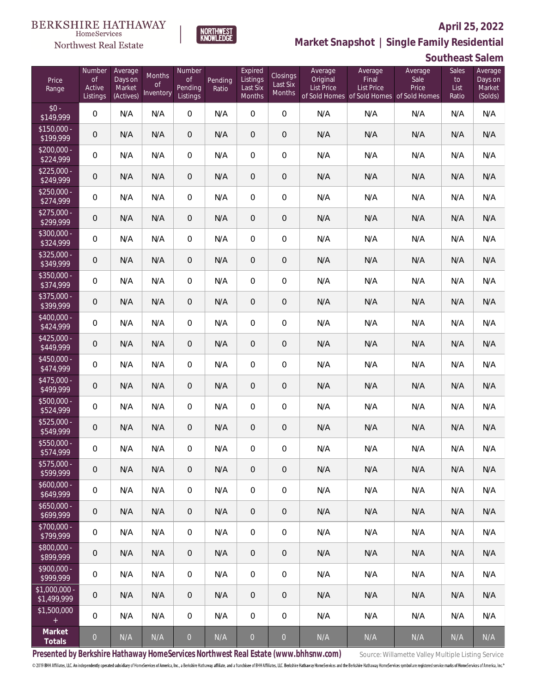

**BERKSHIRE HATHAWAY** 

 $\label{lem:sevices} \textsc{Home} \textsc{Service} \textsc{s}$ Northwest Real Estate

**Market Snapshot | Single Family Residential**

## **Southeast Salem**

| Price<br>Range               | Number<br><b>of</b><br>Active<br>Listings | Average<br>Days on<br>Market<br>(Actives) | Months<br>0f<br>Inventory | Number<br><b>of</b><br>Pending<br>Listings | Pending<br>Ratio | Expired<br>Listings<br>Last Six<br>Months | Closings<br>Last Six<br>Months | Average<br>Original<br><b>List Price</b> | Average<br>Final<br><b>List Price</b><br>of Sold Homes of Sold Homes of Sold Homes | Average<br>Sale<br>Price | Sales<br>to<br>List<br>Ratio | Average<br>Days on<br>Market<br>(Solds) |
|------------------------------|-------------------------------------------|-------------------------------------------|---------------------------|--------------------------------------------|------------------|-------------------------------------------|--------------------------------|------------------------------------------|------------------------------------------------------------------------------------|--------------------------|------------------------------|-----------------------------------------|
| $$0 -$<br>\$149,999          | $\boldsymbol{0}$                          | N/A                                       | N/A                       | $\overline{0}$                             | N/A              | $\overline{0}$                            | $\overline{0}$                 | N/A                                      | N/A                                                                                | N/A                      | N/A                          | N/A                                     |
| $$150,000 -$<br>\$199,999    | $\mathbf 0$                               | N/A                                       | N/A                       | $\overline{0}$                             | N/A              | $\overline{0}$                            | 0                              | N/A                                      | N/A                                                                                | N/A                      | N/A                          | N/A                                     |
| $$200,000 -$<br>\$224,999    | $\boldsymbol{0}$                          | N/A                                       | N/A                       | $\overline{0}$                             | N/A              | $\overline{0}$                            | $\boldsymbol{0}$               | N/A                                      | N/A                                                                                | N/A                      | N/A                          | N/A                                     |
| $$225,000 -$<br>\$249,999    | $\mathbf 0$                               | N/A                                       | N/A                       | $\overline{0}$                             | N/A              | $\overline{0}$                            | 0                              | N/A                                      | N/A                                                                                | N/A                      | N/A                          | N/A                                     |
| $$250,000 -$<br>\$274,999    | $\boldsymbol{0}$                          | N/A                                       | N/A                       | $\overline{0}$                             | N/A              | $\overline{0}$                            | $\boldsymbol{0}$               | N/A                                      | N/A                                                                                | N/A                      | N/A                          | N/A                                     |
| $$275,000 -$<br>\$299,999    | $\boldsymbol{0}$                          | N/A                                       | N/A                       | $\overline{0}$                             | N/A              | $\overline{0}$                            | $\overline{0}$                 | N/A                                      | N/A                                                                                | N/A                      | N/A                          | N/A                                     |
| $$300,000 -$<br>\$324,999    | $\boldsymbol{0}$                          | N/A                                       | N/A                       | $\overline{0}$                             | N/A              | $\overline{0}$                            | $\boldsymbol{0}$               | N/A                                      | N/A                                                                                | N/A                      | N/A                          | N/A                                     |
| $$325,000 -$<br>\$349,999    | 0                                         | N/A                                       | N/A                       | $\overline{0}$                             | N/A              | $\overline{0}$                            | $\overline{0}$                 | N/A                                      | N/A                                                                                | N/A                      | N/A                          | N/A                                     |
| \$350,000 -<br>\$374,999     | $\boldsymbol{0}$                          | N/A                                       | N/A                       | $\overline{0}$                             | N/A              | $\overline{0}$                            | $\boldsymbol{0}$               | N/A                                      | N/A                                                                                | N/A                      | N/A                          | N/A                                     |
| \$375,000 -<br>\$399,999     | $\boldsymbol{0}$                          | N/A                                       | N/A                       | $\overline{0}$                             | N/A              | $\overline{0}$                            | 0                              | N/A                                      | N/A                                                                                | N/A                      | N/A                          | N/A                                     |
| \$400,000 -<br>\$424,999     | $\boldsymbol{0}$                          | N/A                                       | N/A                       | $\overline{0}$                             | N/A              | $\overline{0}$                            | $\boldsymbol{0}$               | N/A                                      | N/A                                                                                | N/A                      | N/A                          | N/A                                     |
| $$425,000 -$<br>\$449,999    | $\mathbf 0$                               | N/A                                       | N/A                       | $\overline{0}$                             | N/A              | $\overline{0}$                            | $\overline{0}$                 | N/A                                      | N/A                                                                                | N/A                      | N/A                          | N/A                                     |
| $$450,000 -$<br>\$474,999    | $\boldsymbol{0}$                          | N/A                                       | N/A                       | $\overline{0}$                             | N/A              | $\overline{0}$                            | $\boldsymbol{0}$               | N/A                                      | N/A                                                                                | N/A                      | N/A                          | N/A                                     |
| $$475,000 -$<br>\$499,999    | $\mathbf 0$                               | N/A                                       | N/A                       | $\overline{0}$                             | N/A              | $\overline{0}$                            | $\overline{0}$                 | N/A                                      | N/A                                                                                | N/A                      | N/A                          | N/A                                     |
| $$500,000 -$<br>\$524,999    | $\boldsymbol{0}$                          | N/A                                       | N/A                       | $\overline{0}$                             | N/A              | $\overline{0}$                            | $\boldsymbol{0}$               | N/A                                      | N/A                                                                                | N/A                      | N/A                          | N/A                                     |
| $$525,000 -$<br>\$549,999    | $\mathbf 0$                               | N/A                                       | N/A                       | $\theta$                                   | N/A              | 0                                         | $\overline{0}$                 | N/A                                      | N/A                                                                                | N/A                      | N/A                          | N/A                                     |
| \$550,000 -<br>\$574,999     | $\boldsymbol{0}$                          | N/A                                       | N/A                       | $\mathbf{0}$                               | N/A              | $\overline{0}$                            | 0                              | N/A                                      | N/A                                                                                | N/A                      | N/A                          | N/A                                     |
| $$575,000 -$<br>\$599,999    | $\mathbf 0$                               | N/A                                       | N/A                       | $\mathbf 0$                                | N/A              | $\theta$                                  | $\mathbf 0$                    | N/A                                      | N/A                                                                                | N/A                      | N/A                          | N/A                                     |
| $$600,000 -$<br>\$649,999    | $\,0\,$                                   | N/A                                       | N/A                       | $\boldsymbol{0}$                           | N/A              | $\mathbf 0$                               | $\,0\,$                        | N/A                                      | N/A                                                                                | N/A                      | N/A                          | N/A                                     |
| $$650,000 -$<br>\$699,999    | $\boldsymbol{0}$                          | N/A                                       | N/A                       | $\mathbf 0$                                | N/A              | $\overline{0}$                            | $\mathbf 0$                    | N/A                                      | N/A                                                                                | N/A                      | N/A                          | N/A                                     |
| $$700,000 -$<br>\$799,999    | $\mathbf 0$                               | N/A                                       | N/A                       | 0                                          | N/A              | $\mathbf 0$                               | $\mathbf 0$                    | N/A                                      | N/A                                                                                | N/A                      | N/A                          | N/A                                     |
| \$800,000 -<br>\$899,999     | $\boldsymbol{0}$                          | N/A                                       | N/A                       | $\mathbf 0$                                | N/A              | $\overline{0}$                            | $\mathbf 0$                    | N/A                                      | N/A                                                                                | N/A                      | N/A                          | N/A                                     |
| $$900,000 -$<br>\$999,999    | $\mathbf 0$                               | N/A                                       | N/A                       | $\overline{0}$                             | N/A              | $\mathbf 0$                               | $\mathbf 0$                    | N/A                                      | N/A                                                                                | N/A                      | N/A                          | N/A                                     |
| \$1,000,000 -<br>\$1,499,999 | 0                                         | N/A                                       | N/A                       | $\mathbf 0$                                | N/A              | $\theta$                                  | $\mathbf 0$                    | N/A                                      | N/A                                                                                | N/A                      | N/A                          | N/A                                     |
| \$1,500,000<br>$\pm$         | $\mathbf 0$                               | N/A                                       | N/A                       | $\boldsymbol{0}$                           | N/A              | $\mathbf 0$                               | $\mathbf 0$                    | N/A                                      | N/A                                                                                | N/A                      | N/A                          | N/A                                     |
| Market<br>Totals             | $\overline{0}$                            | N/A                                       | N/A                       | $\circ$                                    | N/A              | $\boldsymbol{0}$                          | $\overline{0}$                 | N/A                                      | N/A                                                                                | N/A                      | N/A                          | N/A                                     |

Presented by Berkshire Hathaway HomeServices Northwest Real Estate (www.bhhsnw.com) source: Willamette Valley Multiple Listing Service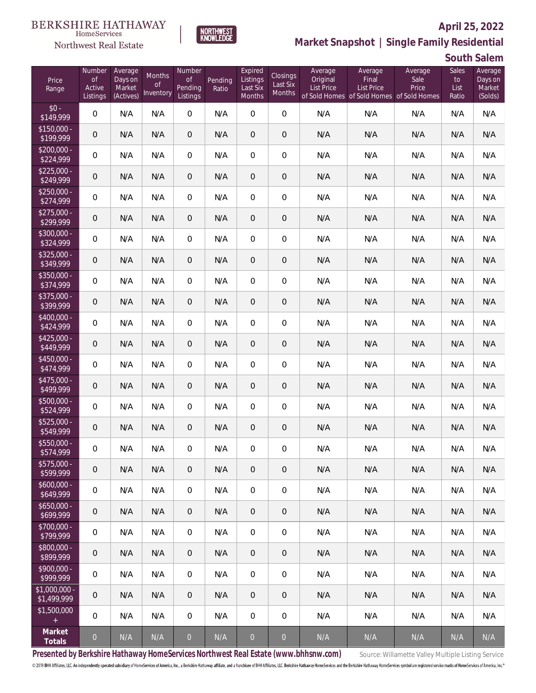

**NORTHWEST**<br>KNOWLEDGE

Northwest Real Estate

# **Market Snapshot | Single Family Residential**

**South Salem**

| Price<br>Range               | Number<br><b>of</b><br>Active<br>Listings | Average<br>Days on<br>Market<br>(Actives) | Months<br>0f<br>Inventory | Number<br><b>of</b><br>Pending<br>Listings | Pending<br>Ratio        | Expired<br>Listings<br>Last Six<br>Months | Closings<br>Last Six<br>Months | Average<br>Original<br><b>List Price</b> | Average<br>Final<br><b>List Price</b><br>of Sold Homes of Sold Homes of Sold Homes | Average<br>Sale<br>Price | Sales<br>to<br>List<br>Ratio | Average<br>Days on<br>Market<br>(Solds) |
|------------------------------|-------------------------------------------|-------------------------------------------|---------------------------|--------------------------------------------|-------------------------|-------------------------------------------|--------------------------------|------------------------------------------|------------------------------------------------------------------------------------|--------------------------|------------------------------|-----------------------------------------|
| $$0 -$<br>\$149,999          | 0                                         | N/A                                       | N/A                       | $\overline{0}$                             | N/A                     | $\overline{0}$                            | $\overline{0}$                 | N/A                                      | N/A                                                                                | N/A                      | N/A                          | N/A                                     |
| $$150,000 -$<br>\$199,999    | 0                                         | N/A                                       | N/A                       | $\overline{0}$                             | N/A                     | $\overline{0}$                            | 0                              | N/A                                      | N/A                                                                                | N/A                      | N/A                          | N/A                                     |
| $$200,000 -$<br>\$224,999    | 0                                         | N/A                                       | N/A                       | $\overline{0}$                             | N/A                     | $\overline{0}$                            | 0                              | N/A                                      | N/A                                                                                | N/A                      | N/A                          | N/A                                     |
| $$225,000 -$<br>\$249,999    | 0                                         | N/A                                       | N/A                       | $\overline{0}$                             | N/A                     | $\overline{0}$                            | $\mathbf 0$                    | N/A                                      | N/A                                                                                | N/A                      | N/A                          | N/A                                     |
| $$250,000 -$<br>\$274,999    | 0                                         | N/A                                       | N/A                       | $\overline{0}$                             | N/A                     | $\overline{0}$                            | 0                              | N/A                                      | N/A                                                                                | N/A                      | N/A                          | N/A                                     |
| $$275,000 -$<br>\$299,999    | 0                                         | N/A                                       | N/A                       | $\overline{0}$                             | N/A                     | $\overline{0}$                            | $\mathbf 0$                    | N/A                                      | N/A                                                                                | N/A                      | N/A                          | N/A                                     |
| $$300,000 -$<br>\$324,999    | 0                                         | N/A                                       | N/A                       | $\overline{0}$                             | N/A                     | $\overline{0}$                            | $\overline{0}$                 | N/A                                      | N/A                                                                                | N/A                      | N/A                          | N/A                                     |
| $$325,000 -$<br>\$349,999    | 0                                         | N/A                                       | N/A                       | $\overline{0}$                             | N/A                     | $\overline{0}$                            | $\mathbf 0$                    | N/A                                      | N/A                                                                                | N/A                      | N/A                          | N/A                                     |
| \$350,000 -<br>\$374,999     | 0                                         | N/A                                       | N/A                       | $\overline{0}$                             | N/A                     | $\overline{0}$                            | 0                              | N/A                                      | N/A                                                                                | N/A                      | N/A                          | N/A                                     |
| $$375,000 -$<br>\$399,999    | 0                                         | N/A                                       | N/A                       | $\overline{0}$                             | N/A                     | $\overline{0}$                            | $\mathbf 0$                    | N/A                                      | N/A                                                                                | N/A                      | N/A                          | N/A                                     |
| \$400,000 -<br>\$424,999     | 0                                         | N/A                                       | N/A                       | $\overline{0}$                             | N/A                     | $\overline{0}$                            | 0                              | N/A                                      | N/A                                                                                | N/A                      | N/A                          | N/A                                     |
| $$425,000 -$<br>\$449,999    | 0                                         | N/A                                       | N/A                       | $\overline{0}$                             | N/A                     | $\overline{0}$                            | $\mathbf 0$                    | N/A                                      | N/A                                                                                | N/A                      | N/A                          | N/A                                     |
| \$450,000 -<br>\$474,999     | 0                                         | N/A                                       | N/A                       | $\overline{0}$                             | N/A                     | $\overline{0}$                            | 0                              | N/A                                      | N/A                                                                                | N/A                      | N/A                          | N/A                                     |
| \$475,000 -<br>\$499,999     | 0                                         | N/A                                       | N/A                       | $\overline{0}$                             | N/A                     | $\overline{0}$                            | $\mathbf 0$                    | N/A                                      | N/A                                                                                | N/A                      | N/A                          | N/A                                     |
| \$500,000 -<br>\$524,999     | 0                                         | N/A                                       | N/A                       | $\overline{0}$                             | N/A                     | $\overline{0}$                            | 0                              | N/A                                      | N/A                                                                                | N/A                      | N/A                          | N/A                                     |
| $$525,000 -$<br>\$549,999    | 0                                         | N/A                                       | N/A                       | $\overline{0}$                             | N/A                     | $\overline{0}$                            | 0                              | N/A                                      | N/A                                                                                | N/A                      | N/A                          | N/A                                     |
| \$550,000 -<br>\$574,999     | 0                                         | N/A                                       | N/A                       | 0                                          | N/A                     | 0                                         | 0                              | N/A                                      | N/A                                                                                | N/A                      | N/A                          | N/A                                     |
| \$575,000 -<br>\$599,999     | 0                                         | N/A                                       | N/A                       | $\overline{0}$                             | N/A                     | $\theta$                                  | 0                              | N/A                                      | N/A                                                                                | N/A                      | N/A                          | N/A                                     |
| $$600,000 -$<br>\$649,999    | 0                                         | N/A                                       | N/A                       | $\overline{0}$                             | N/A                     | $\mathbf 0$                               | 0                              | N/A                                      | N/A                                                                                | N/A                      | N/A                          | N/A                                     |
| \$650,000 -<br>\$699,999     | 0                                         | N/A                                       | N/A                       | $\overline{0}$                             | N/A                     | $\sqrt{2}$                                | 0                              | N/A                                      | N/A                                                                                | N/A                      | N/A                          | N/A                                     |
| \$700,000 -<br>\$799,999     | 0                                         | N/A                                       | N/A                       | $\overline{0}$                             | N/A                     | $\mathbf 0$                               | 0                              | N/A                                      | N/A                                                                                | N/A                      | N/A                          | N/A                                     |
| \$800,000 -<br>\$899,999     | 0                                         | N/A                                       | N/A                       | $\overline{0}$                             | N/A                     | $\sqrt{2}$                                | 0                              | N/A                                      | N/A                                                                                | N/A                      | N/A                          | N/A                                     |
| \$900,000 -<br>\$999,999     | 0                                         | N/A                                       | N/A                       | $\overline{0}$                             | N/A                     | $\mathbf 0$                               | 0                              | N/A                                      | N/A                                                                                | N/A                      | N/A                          | N/A                                     |
| \$1,000,000 -<br>\$1,499,999 | 0                                         | N/A                                       | N/A                       | $\overline{0}$                             | N/A                     | $\overline{0}$                            | 0                              | N/A                                      | N/A                                                                                | N/A                      | N/A                          | N/A                                     |
| \$1,500,000<br>$\pm$         | 0                                         | N/A                                       | N/A                       | $\mathbf 0$                                | N/A                     | 0                                         | 0                              | N/A                                      | N/A                                                                                | N/A                      | N/A                          | N/A                                     |
| Market<br>Totals             | $\mathbf 0$                               | N/A                                       | N/A                       | $\mathbf 0$                                | $\mathsf{N}/\mathsf{A}$ | $\overline{0}$                            | $\bullet$                      | N/A                                      | N/A                                                                                | N/A                      | $\mathsf{N}/\mathsf{A}$      | N/A                                     |

Presented by Berkshire Hathaway HomeServices Northwest Real Estate (www.bhhsnw.com) source: Willamette Valley Multiple Listing Service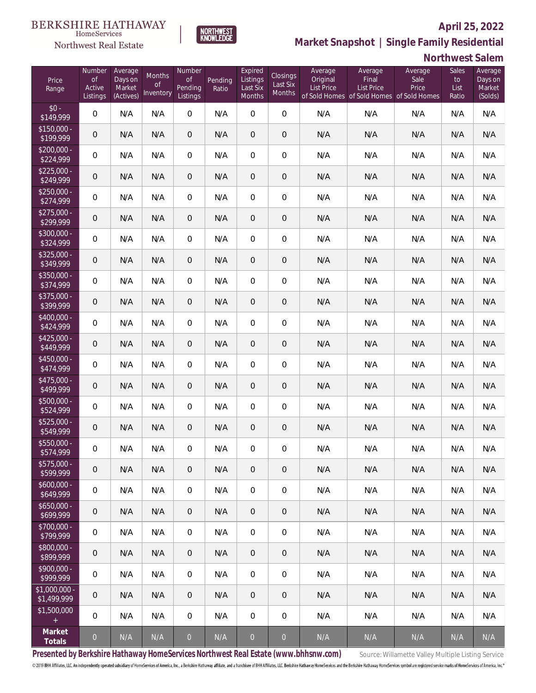

 $\label{lem:sevices} \textsc{Home} \textsc{Service} \textsc{s}$ 

**Market Snapshot | Single Family Residential**

## **Northwest Salem**

| Price<br>Range               | Number<br><b>of</b><br>Active<br>Listings | Average<br>Days on<br>Market<br>(Actives) | Months<br>0f<br>Inventory | Number<br><b>of</b><br>Pending<br>Listings | Pending<br>Ratio | Expired<br>Listings<br>Last Six<br>Months | Closings<br>Last Six<br>Months | Average<br>Original<br><b>List Price</b> | Average<br>Final<br><b>List Price</b><br>of Sold Homes of Sold Homes of Sold Homes | Average<br>Sale<br>Price | Sales<br>to<br>List<br>Ratio | Average<br>Days on<br>Market<br>(Solds) |
|------------------------------|-------------------------------------------|-------------------------------------------|---------------------------|--------------------------------------------|------------------|-------------------------------------------|--------------------------------|------------------------------------------|------------------------------------------------------------------------------------|--------------------------|------------------------------|-----------------------------------------|
| $$0 -$<br>\$149,999          | $\mathbf 0$                               | N/A                                       | N/A                       | $\overline{0}$                             | N/A              | $\overline{0}$                            | $\overline{0}$                 | N/A                                      | N/A                                                                                | N/A                      | N/A                          | N/A                                     |
| $$150,000 -$<br>\$199,999    | $\boldsymbol{0}$                          | N/A                                       | N/A                       | $\overline{0}$                             | N/A              | $\overline{0}$                            | $\boldsymbol{0}$               | N/A                                      | N/A                                                                                | N/A                      | N/A                          | N/A                                     |
| $$200,000 -$<br>\$224,999    | $\boldsymbol{0}$                          | N/A                                       | N/A                       | $\overline{0}$                             | N/A              | $\overline{0}$                            | $\boldsymbol{0}$               | N/A                                      | N/A                                                                                | N/A                      | N/A                          | N/A                                     |
| $$225,000 -$<br>\$249,999    | $\boldsymbol{0}$                          | N/A                                       | N/A                       | $\overline{0}$                             | N/A              | $\overline{0}$                            | $\overline{0}$                 | N/A                                      | N/A                                                                                | N/A                      | N/A                          | N/A                                     |
| $$250,000 -$<br>\$274,999    | $\boldsymbol{0}$                          | N/A                                       | N/A                       | $\overline{0}$                             | N/A              | $\overline{0}$                            | $\boldsymbol{0}$               | N/A                                      | N/A                                                                                | N/A                      | N/A                          | N/A                                     |
| $$275,000 -$<br>\$299,999    | $\mathbf 0$                               | N/A                                       | N/A                       | $\theta$                                   | N/A              | $\overline{0}$                            | $\overline{0}$                 | N/A                                      | N/A                                                                                | N/A                      | N/A                          | N/A                                     |
| $$300,000 -$<br>\$324,999    | $\boldsymbol{0}$                          | N/A                                       | N/A                       | $\overline{0}$                             | N/A              | $\overline{0}$                            | $\boldsymbol{0}$               | N/A                                      | N/A                                                                                | N/A                      | N/A                          | N/A                                     |
| $$325,000 -$<br>\$349,999    | $\mathbf 0$                               | N/A                                       | N/A                       | $\theta$                                   | N/A              | $\overline{0}$                            | $\overline{0}$                 | N/A                                      | N/A                                                                                | N/A                      | N/A                          | N/A                                     |
| \$350,000 -<br>\$374,999     | $\boldsymbol{0}$                          | N/A                                       | N/A                       | $\overline{0}$                             | N/A              | $\overline{0}$                            | $\boldsymbol{0}$               | N/A                                      | N/A                                                                                | N/A                      | N/A                          | N/A                                     |
| \$375,000 -<br>\$399,999     | $\mathbf 0$                               | N/A                                       | N/A                       | $\theta$                                   | N/A              | $\overline{0}$                            | $\overline{0}$                 | N/A                                      | N/A                                                                                | N/A                      | N/A                          | N/A                                     |
| $$400,000 -$<br>\$424,999    | 0                                         | N/A                                       | N/A                       | $\overline{0}$                             | N/A              | $\overline{0}$                            | $\boldsymbol{0}$               | N/A                                      | N/A                                                                                | N/A                      | N/A                          | N/A                                     |
| $$425,000 -$<br>\$449,999    | $\mathbf 0$                               | N/A                                       | N/A                       | $\theta$                                   | N/A              | $\overline{0}$                            | $\overline{0}$                 | N/A                                      | N/A                                                                                | N/A                      | N/A                          | N/A                                     |
| $$450,000 -$<br>\$474,999    | 0                                         | N/A                                       | N/A                       | $\overline{0}$                             | N/A              | $\mathbf 0$                               | $\boldsymbol{0}$               | N/A                                      | N/A                                                                                | N/A                      | N/A                          | N/A                                     |
| $$475,000 -$<br>\$499,999    | $\mathbf 0$                               | N/A                                       | N/A                       | $\theta$                                   | N/A              | $\overline{0}$                            | $\overline{0}$                 | N/A                                      | N/A                                                                                | N/A                      | N/A                          | N/A                                     |
| $$500,000 -$<br>\$524,999    | 0                                         | N/A                                       | N/A                       | $\overline{0}$                             | N/A              | $\overline{0}$                            | $\boldsymbol{0}$               | N/A                                      | N/A                                                                                | N/A                      | N/A                          | N/A                                     |
| $$525,000 -$<br>\$549,999    | $\mathbf 0$                               | N/A                                       | N/A                       | $\theta$                                   | N/A              | 0                                         | $\overline{0}$                 | N/A                                      | N/A                                                                                | N/A                      | N/A                          | N/A                                     |
| \$550,000 -<br>\$574,999     | $\mathsf{O}\xspace$                       | N/A                                       | N/A                       | $\overline{0}$                             | N/A              | $\overline{0}$                            | $\mathbf 0$                    | N/A                                      | N/A                                                                                | N/A                      | N/A                          | N/A                                     |
| $$575,000 -$<br>\$599,999    | 0                                         | N/A                                       | N/A                       | $\mathbf 0$                                | N/A              | $\mathbf 0$                               | $\mathbf 0$                    | N/A                                      | N/A                                                                                | N/A                      | N/A                          | N/A                                     |
| $$600,000 -$<br>\$649,999    | $\,0\,$                                   | N/A                                       | N/A                       | $\boldsymbol{0}$                           | N/A              | $\mathbf 0$                               | $\mathbf 0$                    | N/A                                      | N/A                                                                                | N/A                      | N/A                          | N/A                                     |
| $$650,000 -$<br>\$699,999    | $\boldsymbol{0}$                          | N/A                                       | N/A                       | $\mathbf 0$                                | N/A              | $\overline{0}$                            | $\mathbf 0$                    | N/A                                      | N/A                                                                                | N/A                      | N/A                          | N/A                                     |
| $$700,000 -$<br>\$799,999    | $\mathbf 0$                               | N/A                                       | N/A                       | $\mathbf 0$                                | N/A              | $\sqrt{0}$                                | $\mathbf 0$                    | N/A                                      | N/A                                                                                | N/A                      | N/A                          | N/A                                     |
| \$800,000 -<br>\$899,999     | $\boldsymbol{0}$                          | N/A                                       | N/A                       | $\mathbf 0$                                | N/A              | $\theta$                                  | $\mathbf 0$                    | N/A                                      | N/A                                                                                | N/A                      | N/A                          | N/A                                     |
| $$900,000 -$<br>\$999,999    | $\mathbf 0$                               | N/A                                       | N/A                       | $\,0\,$                                    | N/A              | $\sqrt{0}$                                | $\mathbf 0$                    | N/A                                      | N/A                                                                                | N/A                      | N/A                          | N/A                                     |
| \$1,000,000 -<br>\$1,499,999 | 0                                         | N/A                                       | N/A                       | $\mathbf 0$                                | N/A              | $\overline{0}$                            | $\mathbf 0$                    | N/A                                      | N/A                                                                                | N/A                      | N/A                          | N/A                                     |
| \$1,500,000<br>$\pm$         | $\overline{0}$                            | N/A                                       | N/A                       | $\,0\,$                                    | N/A              | $\mathbf 0$                               | $\mathbf 0$                    | N/A                                      | N/A                                                                                | N/A                      | N/A                          | N/A                                     |
| Market<br>Totals             | $\overline{0}$                            | N/A                                       | N/A                       | $\overline{0}$                             | N/A              | $\overline{0}$                            | $\overline{0}$                 | N/A                                      | N/A                                                                                | N/A                      | N/A                          | N/A                                     |

Presented by Berkshire Hathaway HomeServices Northwest Real Estate (www.bhhsnw.com) source: Willamette Valley Multiple Listing Service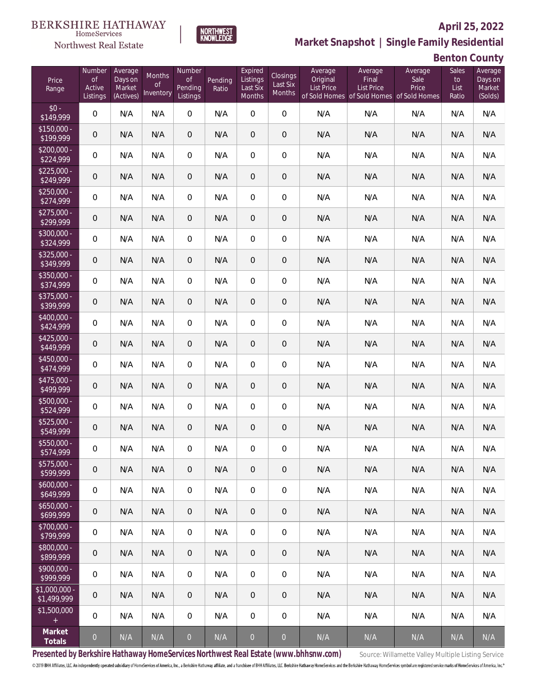

**NORTHWEST**<br>KNOWLEDGE

Northwest Real Estate

**Market Snapshot | Single Family Residential**

# **Benton County**

| Price<br>Range               | Number<br><b>of</b><br>Active<br>Listings | Average<br>Days on<br>Market<br>(Actives) | Months<br>0f<br>Inventory | Number<br>0f<br>Pending<br>Listings | Pending<br>Ratio        | Expired<br>Listings<br>Last Six<br>Months | Closings<br>Last Six<br>Months | Average<br>Original<br><b>List Price</b> | Average<br>Final<br><b>List Price</b><br>of Sold Homes of Sold Homes of Sold Homes | Average<br>Sale<br>Price | Sales<br>to<br>List<br>Ratio | Average<br>Days on<br>Market<br>(Solds) |
|------------------------------|-------------------------------------------|-------------------------------------------|---------------------------|-------------------------------------|-------------------------|-------------------------------------------|--------------------------------|------------------------------------------|------------------------------------------------------------------------------------|--------------------------|------------------------------|-----------------------------------------|
| $$0 -$<br>\$149,999          | $\overline{0}$                            | N/A                                       | N/A                       | $\overline{0}$                      | N/A                     | $\overline{0}$                            | $\overline{0}$                 | N/A                                      | N/A                                                                                | N/A                      | N/A                          | N/A                                     |
| $$150,000 -$<br>\$199,999    | 0                                         | N/A                                       | N/A                       | $\overline{0}$                      | N/A                     | $\overline{0}$                            | $\theta$                       | N/A                                      | N/A                                                                                | N/A                      | N/A                          | N/A                                     |
| $$200,000 -$<br>\$224,999    | $\boldsymbol{0}$                          | N/A                                       | N/A                       | $\overline{0}$                      | N/A                     | $\overline{0}$                            | $\mathbf 0$                    | N/A                                      | N/A                                                                                | N/A                      | N/A                          | N/A                                     |
| $$225,000 -$<br>\$249,999    | 0                                         | N/A                                       | N/A                       | $\overline{0}$                      | N/A                     | $\overline{0}$                            | $\theta$                       | N/A                                      | N/A                                                                                | N/A                      | N/A                          | N/A                                     |
| $$250,000 -$<br>\$274,999    | 0                                         | N/A                                       | N/A                       | $\overline{0}$                      | N/A                     | $\overline{0}$                            | $\mathbf 0$                    | N/A                                      | N/A                                                                                | N/A                      | N/A                          | N/A                                     |
| $$275,000 -$<br>\$299,999    | 0                                         | N/A                                       | N/A                       | $\overline{0}$                      | N/A                     | $\overline{0}$                            | $\sqrt{2}$                     | N/A                                      | N/A                                                                                | N/A                      | N/A                          | N/A                                     |
| $$300,000 -$<br>\$324,999    | 0                                         | N/A                                       | N/A                       | $\overline{0}$                      | N/A                     | $\overline{0}$                            | $\mathbf 0$                    | N/A                                      | N/A                                                                                | N/A                      | N/A                          | N/A                                     |
| $$325,000 -$<br>\$349,999    | 0                                         | N/A                                       | N/A                       | $\overline{0}$                      | N/A                     | $\mathbf 0$                               | $\mathbf 0$                    | N/A                                      | N/A                                                                                | N/A                      | N/A                          | N/A                                     |
| $$350,000 -$<br>\$374,999    | 0                                         | N/A                                       | N/A                       | $\overline{0}$                      | N/A                     | $\overline{0}$                            | $\mathbf 0$                    | N/A                                      | N/A                                                                                | N/A                      | N/A                          | N/A                                     |
| \$375,000 -<br>\$399,999     | 0                                         | N/A                                       | N/A                       | $\overline{0}$                      | N/A                     | 0                                         | $\mathbf 0$                    | N/A                                      | N/A                                                                                | N/A                      | N/A                          | N/A                                     |
| \$400,000 -<br>\$424,999     | $\boldsymbol{0}$                          | N/A                                       | N/A                       | $\overline{0}$                      | N/A                     | $\overline{0}$                            | $\mathbf 0$                    | N/A                                      | N/A                                                                                | N/A                      | N/A                          | N/A                                     |
| $$425,000 -$<br>\$449,999    | 0                                         | N/A                                       | N/A                       | $\overline{0}$                      | N/A                     | 0                                         | $\theta$                       | N/A                                      | N/A                                                                                | N/A                      | N/A                          | N/A                                     |
| $$450,000 -$<br>\$474,999    | $\boldsymbol{0}$                          | N/A                                       | N/A                       | $\overline{0}$                      | N/A                     | $\overline{0}$                            | $\mathbf 0$                    | N/A                                      | N/A                                                                                | N/A                      | N/A                          | N/A                                     |
| $$475,000 -$<br>\$499,999    | 0                                         | N/A                                       | N/A                       | $\overline{0}$                      | N/A                     | $\overline{0}$                            | $\theta$                       | N/A                                      | N/A                                                                                | N/A                      | N/A                          | N/A                                     |
| $$500,000 -$<br>\$524,999    | $\boldsymbol{0}$                          | N/A                                       | N/A                       | $\overline{0}$                      | N/A                     | $\overline{0}$                            | $\mathbf 0$                    | N/A                                      | N/A                                                                                | N/A                      | N/A                          | N/A                                     |
| $$525,000 -$<br>\$549,999    | 0                                         | N/A                                       | N/A                       | $\overline{0}$                      | N/A                     | 0                                         | $\mathbf 0$                    | N/A                                      | N/A                                                                                | N/A                      | N/A                          | N/A                                     |
| \$550,000 -<br>\$574,999     | 0                                         | N/A                                       | N/A                       | $\overline{0}$                      | N/A                     | 0                                         | $\mathbf 0$                    | N/A                                      | N/A                                                                                | N/A                      | N/A                          | N/A                                     |
| \$575,000 -<br>\$599,999     | $\mathbf 0$                               | N/A                                       | N/A                       | $\,0\,$                             | N/A                     | $\mathbf 0$                               | $\mathbf 0$                    | N/A                                      | N/A                                                                                | N/A                      | N/A                          | N/A                                     |
| $$600,000 -$<br>\$649,999    | $\boldsymbol{0}$                          | N/A                                       | N/A                       | $\mathbf 0$                         | N/A                     | $\mathbf 0$                               | $\mathbf 0$                    | N/A                                      | N/A                                                                                | N/A                      | N/A                          | N/A                                     |
| $$650,000 -$<br>\$699,999    | $\mathbf 0$                               | N/A                                       | N/A                       | $\mathbf 0$                         | N/A                     | $\overline{0}$                            | $\mathbf 0$                    | N/A                                      | N/A                                                                                | N/A                      | N/A                          | N/A                                     |
| $$700,000 -$<br>\$799,999    | 0                                         | N/A                                       | N/A                       | $\overline{0}$                      | N/A                     | $\mathbf 0$                               | $\mathbf 0$                    | N/A                                      | N/A                                                                                | N/A                      | N/A                          | N/A                                     |
| \$800,000 -<br>\$899,999     | $\boldsymbol{0}$                          | N/A                                       | N/A                       | $\mathbf 0$                         | N/A                     | $\overline{0}$                            | $\mathbf 0$                    | N/A                                      | N/A                                                                                | N/A                      | N/A                          | N/A                                     |
| $$900,000 -$<br>\$999,999    | 0                                         | N/A                                       | N/A                       | $\overline{0}$                      | N/A                     | $\mathbf 0$                               | $\boldsymbol{0}$               | N/A                                      | N/A                                                                                | N/A                      | N/A                          | N/A                                     |
| \$1,000,000 -<br>\$1,499,999 | 0                                         | N/A                                       | N/A                       | $\overline{0}$                      | N/A                     | $\overline{0}$                            | $\mathbf 0$                    | N/A                                      | N/A                                                                                | N/A                      | N/A                          | N/A                                     |
| \$1,500,000<br>$\pm$         | $\overline{0}$                            | N/A                                       | N/A                       | $\overline{0}$                      | N/A                     | $\mathbf 0$                               | $\mathbf 0$                    | N/A                                      | N/A                                                                                | N/A                      | N/A                          | N/A                                     |
| Market<br>Totals             | $\overline{0}$                            | N/A                                       | N/A                       | $\mathbf 0$                         | $\mathsf{N}/\mathsf{A}$ | $\mathbf 0$                               | $\mathbf 0$                    | N/A                                      | N/A                                                                                | N/A                      | N/A                          | N/A                                     |

Presented by Berkshire Hathaway HomeServices Northwest Real Estate (www.bhhsnw.com) source: Willamette Valley Multiple Listing Service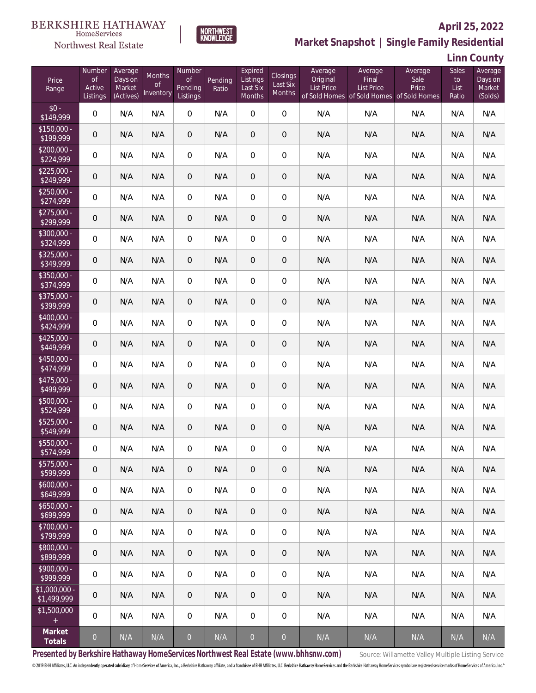

**NORTHWEST**<br>KNOWLEDGE

### Northwest Real Estate

# **Market Snapshot | Single Family Residential**

**Linn County**

| Price<br>Range                | Number<br><b>of</b><br>Active<br>Listings | Average<br>Days on<br>Market<br>(Actives) | Months<br><b>of</b><br>Inventory | Number<br><b>of</b><br>Pending<br>Listings | Pending<br>Ratio        | Expired<br>Listings<br>Last Six<br>Months | Closings<br>Last Six<br>Months | Average<br>Original<br>List Price | Average<br>Final<br>List Price<br>of Sold Homes of Sold Homes of Sold Homes | Average<br>Sale<br>Price | Sales<br>to<br>List<br>Ratio | Average<br>Days on<br>Market<br>(Solds) |
|-------------------------------|-------------------------------------------|-------------------------------------------|----------------------------------|--------------------------------------------|-------------------------|-------------------------------------------|--------------------------------|-----------------------------------|-----------------------------------------------------------------------------|--------------------------|------------------------------|-----------------------------------------|
| $$0 -$<br>\$149,999           | $\overline{0}$                            | N/A                                       | N/A                              | $\overline{0}$                             | N/A                     | $\Omega$                                  | $\overline{0}$                 | N/A                               | N/A                                                                         | N/A                      | N/A                          | N/A                                     |
| $$150,000 -$<br>\$199,999     | 0                                         | N/A                                       | N/A                              | $\overline{0}$                             | N/A                     | $\overline{0}$                            | $\theta$                       | N/A                               | N/A                                                                         | N/A                      | N/A                          | N/A                                     |
| $$200,000 -$<br>\$224,999     | $\boldsymbol{0}$                          | N/A                                       | N/A                              | $\overline{0}$                             | N/A                     | $\overline{0}$                            | $\overline{0}$                 | N/A                               | N/A                                                                         | N/A                      | N/A                          | N/A                                     |
| $$225,000 -$<br>\$249,999     | 0                                         | N/A                                       | N/A                              | $\overline{0}$                             | N/A                     | $\overline{0}$                            | $\mathbf 0$                    | N/A                               | N/A                                                                         | N/A                      | N/A                          | N/A                                     |
| $$250,000 -$<br>\$274,999     | $\boldsymbol{0}$                          | N/A                                       | N/A                              | $\overline{0}$                             | N/A                     | $\overline{0}$                            | $\boldsymbol{0}$               | N/A                               | N/A                                                                         | N/A                      | N/A                          | N/A                                     |
| $$275,000 -$<br>\$299,999     | 0                                         | N/A                                       | N/A                              | $\overline{0}$                             | N/A                     | $\overline{0}$                            | $\mathbf 0$                    | N/A                               | N/A                                                                         | N/A                      | N/A                          | N/A                                     |
| \$300,000 -<br>\$324,999      | $\boldsymbol{0}$                          | N/A                                       | N/A                              | $\overline{0}$                             | N/A                     | $\overline{0}$                            | $\mathbf 0$                    | N/A                               | N/A                                                                         | N/A                      | N/A                          | N/A                                     |
| $$325,000 -$<br>\$349,999     | 0                                         | N/A                                       | N/A                              | $\overline{0}$                             | N/A                     | $\overline{0}$                            | $\mathbf 0$                    | N/A                               | N/A                                                                         | N/A                      | N/A                          | N/A                                     |
| $$350,000 -$<br>\$374,999     | $\boldsymbol{0}$                          | N/A                                       | N/A                              | $\overline{0}$                             | N/A                     | $\overline{0}$                            | $\boldsymbol{0}$               | N/A                               | N/A                                                                         | N/A                      | N/A                          | N/A                                     |
| \$375,000 -<br>\$399,999      | 0                                         | N/A                                       | N/A                              | $\overline{0}$                             | N/A                     | $\overline{0}$                            | $\mathbf 0$                    | N/A                               | N/A                                                                         | N/A                      | N/A                          | N/A                                     |
| \$400,000 -<br>\$424,999      | $\boldsymbol{0}$                          | N/A                                       | N/A                              | $\overline{0}$                             | N/A                     | $\overline{0}$                            | $\mathbf 0$                    | N/A                               | N/A                                                                         | N/A                      | N/A                          | N/A                                     |
| $$425,000 -$<br>\$449,999     | $\mathbf 0$                               | N/A                                       | N/A                              | $\overline{0}$                             | N/A                     | $\overline{0}$                            | $\mathbf 0$                    | N/A                               | N/A                                                                         | N/A                      | N/A                          | N/A                                     |
| \$450,000 -<br>\$474,999      | $\boldsymbol{0}$                          | N/A                                       | N/A                              | $\overline{0}$                             | N/A                     | $\overline{0}$                            | $\mathbf 0$                    | N/A                               | N/A                                                                         | N/A                      | N/A                          | N/A                                     |
| $$475,000 -$<br>\$499,999     | $\mathbf 0$                               | N/A                                       | N/A                              | $\overline{0}$                             | N/A                     | $\overline{0}$                            | $\mathbf 0$                    | N/A                               | N/A                                                                         | N/A                      | N/A                          | N/A                                     |
| $$500,000 -$<br>\$524,999     | $\boldsymbol{0}$                          | N/A                                       | N/A                              | $\overline{0}$                             | N/A                     | $\overline{0}$                            | $\mathbf 0$                    | N/A                               | N/A                                                                         | N/A                      | N/A                          | N/A                                     |
| $$525,000 -$<br>\$549,999     | 0                                         | N/A                                       | N/A                              | $\overline{0}$                             | N/A                     | $\overline{0}$                            | $\mathbf 0$                    | N/A                               | N/A                                                                         | N/A                      | N/A                          | N/A                                     |
| \$550,000 -<br>\$574,999      | 0                                         | N/A                                       | N/A                              | 0                                          | N/A                     | 0                                         | $\mathbf 0$                    | N/A                               | N/A                                                                         | N/A                      | N/A                          | N/A                                     |
| $$575,000 -$<br>\$599,999     | 0                                         | N/A                                       | N/A                              | $\overline{0}$                             | N/A                     | 0                                         | $\mathbf 0$                    | N/A                               | N/A                                                                         | N/A                      | N/A                          | N/A                                     |
| $$600,000 -$<br>\$649,999     | 0                                         | N/A                                       | N/A                              | $\mathbf 0$                                | N/A                     | $\mathbf 0$                               | $\mathbf 0$                    | N/A                               | N/A                                                                         | N/A                      | N/A                          | N/A                                     |
| $$650,000 -$<br>\$699,999     | $\mathbf 0$                               | N/A                                       | N/A                              | $\overline{0}$                             | N/A                     | $\overline{0}$                            | $\sqrt{2}$                     | N/A                               | N/A                                                                         | N/A                      | N/A                          | N/A                                     |
| \$700,000 -<br>\$799,999      | 0                                         | N/A                                       | N/A                              | $\overline{0}$                             | N/A                     | $\mathbf 0$                               | $\mathbf 0$                    | N/A                               | N/A                                                                         | N/A                      | N/A                          | N/A                                     |
| $$800,000 -$<br>\$899,999     | $\mathbf 0$                               | N/A                                       | N/A                              | $\overline{0}$                             | N/A                     | $\overline{0}$                            | $\sqrt{2}$                     | N/A                               | N/A                                                                         | N/A                      | N/A                          | N/A                                     |
| $$900,000 -$<br>\$999,999     | 0                                         | N/A                                       | N/A                              | $\mathbf 0$                                | N/A                     | $\mathbf 0$                               | $\mathbf 0$                    | N/A                               | N/A                                                                         | N/A                      | N/A                          | N/A                                     |
| $$1,000,000 -$<br>\$1,499,999 | $\theta$                                  | N/A                                       | N/A                              | $\overline{0}$                             | N/A                     | $\overline{0}$                            | $\theta$                       | N/A                               | N/A                                                                         | N/A                      | N/A                          | N/A                                     |
| \$1,500,000<br>$+$            | 0                                         | N/A                                       | N/A                              | $\overline{0}$                             | N/A                     | $\mathbf 0$                               | $\mathbf 0$                    | N/A                               | N/A                                                                         | N/A                      | N/A                          | N/A                                     |
| Market<br>Totals              | $\overline{0}$                            | N/A                                       | N/A                              | $\mathbf 0$                                | $\mathsf{N}/\mathsf{A}$ | $\boldsymbol{0}$                          | $\overline{0}$                 | N/A                               | N/A                                                                         | N/A                      | N/A                          | N/A                                     |

Presented by Berkshire Hathaway HomeServices Northwest Real Estate (www.bhhsnw.com) source: Willamette Valley Multiple Listing Service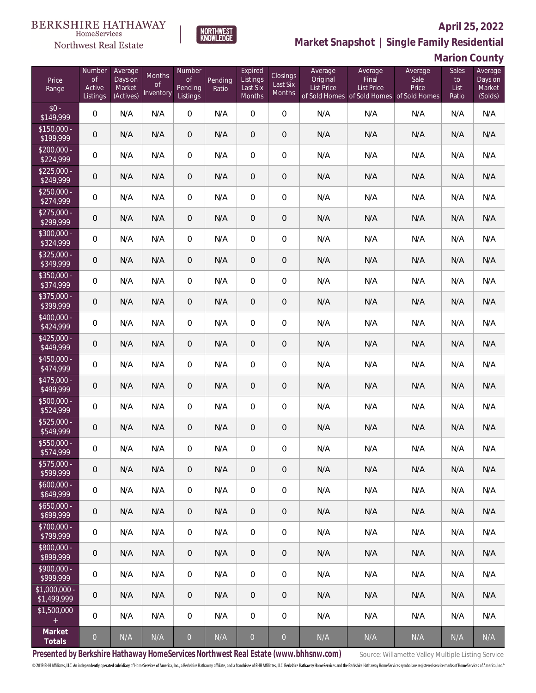

**Market Snapshot | Single Family Residential**

# **Marion County**

| Price<br>Range               | Number<br><b>of</b><br>Active<br>Listings | Average<br>Days on<br>Market<br>(Actives) | Months<br>0f<br>Inventory | Number<br>Οf<br>Pending<br>Listings | Pending<br>Ratio | Expired<br>Listings<br>Last Six<br>Months | Closings<br>Last Six<br>Months | Average<br>Original<br><b>List Price</b> | Average<br>Final<br><b>List Price</b><br>of Sold Homes of Sold Homes of Sold Homes | Average<br>Sale<br>Price | Sales<br>to<br>List<br>Ratio | Average<br>Days on<br>Market<br>(Solds) |
|------------------------------|-------------------------------------------|-------------------------------------------|---------------------------|-------------------------------------|------------------|-------------------------------------------|--------------------------------|------------------------------------------|------------------------------------------------------------------------------------|--------------------------|------------------------------|-----------------------------------------|
| $$0 -$<br>\$149,999          | 0                                         | N/A                                       | N/A                       | $\overline{0}$                      | N/A              | $\Omega$                                  | $\overline{0}$                 | N/A                                      | N/A                                                                                | N/A                      | N/A                          | N/A                                     |
| $$150,000 -$<br>\$199,999    | 0                                         | N/A                                       | N/A                       | $\overline{0}$                      | N/A              | $\overline{0}$                            | 0                              | N/A                                      | N/A                                                                                | N/A                      | N/A                          | N/A                                     |
| $$200,000 -$<br>\$224,999    | 0                                         | N/A                                       | N/A                       | $\overline{0}$                      | N/A              | $\overline{0}$                            | 0                              | N/A                                      | N/A                                                                                | N/A                      | N/A                          | N/A                                     |
| $$225,000 -$<br>\$249,999    | 0                                         | N/A                                       | N/A                       | $\overline{0}$                      | N/A              | $\overline{0}$                            | 0                              | N/A                                      | N/A                                                                                | N/A                      | N/A                          | N/A                                     |
| $$250,000 -$<br>\$274,999    | $\boldsymbol{0}$                          | N/A                                       | N/A                       | $\overline{0}$                      | N/A              | $\overline{0}$                            | $\overline{0}$                 | N/A                                      | N/A                                                                                | N/A                      | N/A                          | N/A                                     |
| $$275,000 -$<br>\$299,999    | $\mathbf 0$                               | N/A                                       | N/A                       | $\overline{0}$                      | N/A              | $\mathbf{0}$                              | 0                              | N/A                                      | N/A                                                                                | N/A                      | N/A                          | N/A                                     |
| $$300,000 -$<br>\$324,999    | $\boldsymbol{0}$                          | N/A                                       | N/A                       | $\overline{0}$                      | N/A              | $\overline{0}$                            | $\overline{0}$                 | N/A                                      | N/A                                                                                | N/A                      | N/A                          | N/A                                     |
| $$325,000 -$<br>\$349,999    | $\mathbf 0$                               | N/A                                       | N/A                       | $\overline{0}$                      | N/A              | $\mathbf{0}$                              | 0                              | N/A                                      | N/A                                                                                | N/A                      | N/A                          | N/A                                     |
| $$350,000 -$<br>\$374,999    | $\boldsymbol{0}$                          | N/A                                       | N/A                       | $\overline{0}$                      | N/A              | $\overline{0}$                            | $\overline{0}$                 | N/A                                      | N/A                                                                                | N/A                      | N/A                          | N/A                                     |
| \$375,000 -<br>\$399,999     | $\mathbf 0$                               | N/A                                       | N/A                       | $\overline{0}$                      | N/A              | $\overline{0}$                            | 0                              | N/A                                      | N/A                                                                                | N/A                      | N/A                          | N/A                                     |
| \$400,000 -<br>\$424,999     | $\boldsymbol{0}$                          | N/A                                       | N/A                       | $\overline{0}$                      | N/A              | $\overline{0}$                            | $\overline{0}$                 | N/A                                      | N/A                                                                                | N/A                      | N/A                          | N/A                                     |
| $$425,000 -$<br>\$449,999    | 0                                         | N/A                                       | N/A                       | $\overline{0}$                      | N/A              | $\mathbf{0}$                              | 0                              | N/A                                      | N/A                                                                                | N/A                      | N/A                          | N/A                                     |
| $$450,000 -$<br>\$474,999    | $\boldsymbol{0}$                          | N/A                                       | N/A                       | $\overline{0}$                      | N/A              | $\overline{0}$                            | $\overline{0}$                 | N/A                                      | N/A                                                                                | N/A                      | N/A                          | N/A                                     |
| $$475,000 -$<br>\$499,999    | 0                                         | N/A                                       | N/A                       | $\overline{0}$                      | N/A              | $\overline{0}$                            | 0                              | N/A                                      | N/A                                                                                | N/A                      | N/A                          | N/A                                     |
| \$500,000 -<br>\$524,999     | 0                                         | N/A                                       | N/A                       | $\overline{0}$                      | N/A              | $\overline{0}$                            | 0                              | N/A                                      | N/A                                                                                | N/A                      | N/A                          | N/A                                     |
| $$525,000 -$<br>\$549,999    | 0                                         | N/A                                       | N/A                       | $\overline{0}$                      | N/A              | $\overline{0}$                            | 0                              | N/A                                      | N/A                                                                                | N/A                      | N/A                          | N/A                                     |
| \$550,000 -<br>\$574,999     | 0                                         | N/A                                       | N/A                       | $\overline{0}$                      | N/A              | $\overline{0}$                            | 0                              | N/A                                      | N/A                                                                                | N/A                      | N/A                          | N/A                                     |
| $$575,000 -$<br>\$599,999    | $\mathbf 0$                               | N/A                                       | N/A                       | $\mathbf 0$                         | N/A              | $\mathbf 0$                               | 0                              | N/A                                      | N/A                                                                                | N/A                      | N/A                          | N/A                                     |
| $$600,000 -$<br>\$649,999    | $\boldsymbol{0}$                          | N/A                                       | N/A                       | 0                                   | N/A              | $\mathbf 0$                               | 0                              | N/A                                      | N/A                                                                                | N/A                      | N/A                          | N/A                                     |
| $$650,000 -$<br>\$699,999    | $\mathbf 0$                               | N/A                                       | N/A                       | $\mathbf 0$                         | N/A              | $\sqrt{2}$                                | 0                              | N/A                                      | N/A                                                                                | N/A                      | N/A                          | N/A                                     |
| $$700,000 -$<br>\$799,999    | 0                                         | N/A                                       | N/A                       | $\mathbf 0$                         | N/A              | $\mathbf 0$                               | 0                              | N/A                                      | N/A                                                                                | N/A                      | N/A                          | N/A                                     |
| \$800,000 -<br>\$899,999     | 0                                         | N/A                                       | N/A                       | $\mathbf 0$                         | N/A              | $\sqrt{2}$                                | 0                              | N/A                                      | N/A                                                                                | N/A                      | N/A                          | N/A                                     |
| $$900,000 -$<br>\$999,999    | 0                                         | N/A                                       | N/A                       | $\boldsymbol{0}$                    | N/A              | $\mathbf 0$                               | 0                              | N/A                                      | N/A                                                                                | N/A                      | N/A                          | N/A                                     |
| \$1,000,000 -<br>\$1,499,999 | 0                                         | N/A                                       | N/A                       | $\mathbf 0$                         | N/A              | $\mathbf 0$                               | 0                              | N/A                                      | N/A                                                                                | N/A                      | N/A                          | N/A                                     |
| \$1,500,000<br>$\pm$         | 0                                         | N/A                                       | N/A                       | $\boldsymbol{0}$                    | N/A              | $\mathbf 0$                               | $\mathbf 0$                    | N/A                                      | N/A                                                                                | N/A                      | N/A                          | N/A                                     |
| Market<br>Totals             | $\overline{0}$                            | N/A                                       | N/A                       | $\boldsymbol{0}$                    | N/A              | $\overline{0}$                            | $\mathbf 0$                    | N/A                                      | N/A                                                                                | N/A                      | N/A                          | $\mathsf{N}/\mathsf{A}$                 |

Presented by Berkshire Hathaway HomeServices Northwest Real Estate (www.bhhsnw.com) source: Willamette Valley Multiple Listing Service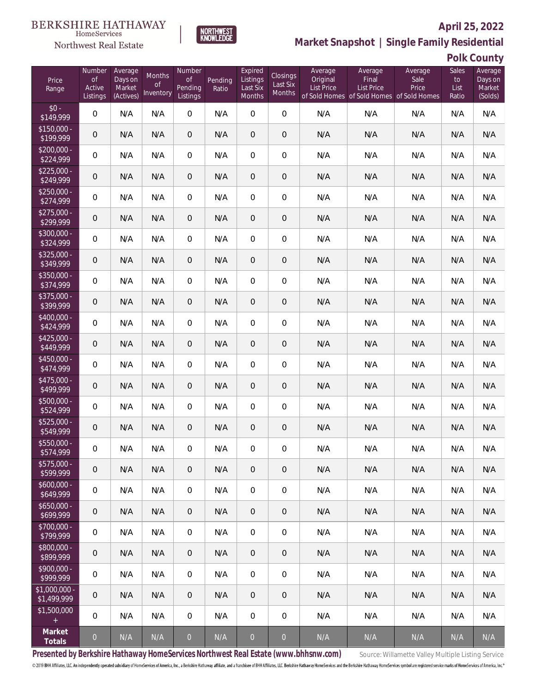

**NORTHWEST**<br>KNOWLEDGE

**Market Snapshot | Single Family Residential**

### **Polk County**

| Price<br>Range                | Number<br>of<br>Active<br>Listings | Average<br>Days on<br>Market<br>(Actives) | Months<br>0f<br>Inventory | Number<br>0f<br>Pending<br>Listings | Pending<br>Ratio | Expired<br>Listings<br>Last Six<br>Months | Closings<br>Last Six<br><b>Months</b> | Average<br>Original<br><b>List Price</b> | Average<br>Final<br><b>List Price</b><br>of Sold Homes of Sold Homes of Sold Homes | Average<br>Sale<br>Price | Sales<br>to<br>List<br>Ratio | Average<br>Days on<br>Market<br>(Solds) |
|-------------------------------|------------------------------------|-------------------------------------------|---------------------------|-------------------------------------|------------------|-------------------------------------------|---------------------------------------|------------------------------------------|------------------------------------------------------------------------------------|--------------------------|------------------------------|-----------------------------------------|
| $$0 -$<br>\$149,999           | $\overline{0}$                     | N/A                                       | N/A                       | $\overline{0}$                      | N/A              | $\overline{0}$                            | $\overline{0}$                        | N/A                                      | N/A                                                                                | N/A                      | N/A                          | N/A                                     |
| $$150,000 -$<br>\$199,999     | 0                                  | N/A                                       | N/A                       | $\overline{0}$                      | N/A              | $\overline{0}$                            | $\mathbf 0$                           | N/A                                      | N/A                                                                                | N/A                      | N/A                          | N/A                                     |
| $$200,000 -$<br>\$224,999     | 0                                  | N/A                                       | N/A                       | $\overline{0}$                      | N/A              | $\overline{0}$                            | $\mathbf 0$                           | N/A                                      | N/A                                                                                | N/A                      | N/A                          | N/A                                     |
| $$225,000 -$<br>\$249,999     | 0                                  | N/A                                       | N/A                       | $\overline{0}$                      | N/A              | $\overline{0}$                            | $\mathbf 0$                           | N/A                                      | N/A                                                                                | N/A                      | N/A                          | N/A                                     |
| $$250,000 -$<br>\$274,999     | 0                                  | N/A                                       | N/A                       | $\overline{0}$                      | N/A              | $\overline{0}$                            | $\mathbf 0$                           | N/A                                      | N/A                                                                                | N/A                      | N/A                          | N/A                                     |
| $$275,000 -$<br>\$299,999     | $\overline{0}$                     | N/A                                       | N/A                       | $\overline{0}$                      | N/A              | $\overline{0}$                            | $\mathbf 0$                           | N/A                                      | N/A                                                                                | N/A                      | N/A                          | N/A                                     |
| \$300,000 -<br>\$324,999      | 0                                  | N/A                                       | N/A                       | $\overline{0}$                      | N/A              | $\overline{0}$                            | $\mathbf 0$                           | N/A                                      | N/A                                                                                | N/A                      | N/A                          | N/A                                     |
| $$325,000 -$<br>\$349,999     | $\mathbf 0$                        | N/A                                       | N/A                       | $\overline{0}$                      | N/A              | $\overline{0}$                            | $\mathbf 0$                           | N/A                                      | N/A                                                                                | N/A                      | N/A                          | N/A                                     |
| \$350,000 -<br>\$374,999      | 0                                  | N/A                                       | N/A                       | $\overline{0}$                      | N/A              | $\overline{0}$                            | $\mathbf 0$                           | N/A                                      | N/A                                                                                | N/A                      | N/A                          | N/A                                     |
| \$375,000 -<br>\$399,999      | $\overline{0}$                     | N/A                                       | N/A                       | $\overline{0}$                      | N/A              | $\overline{0}$                            | $\mathbf 0$                           | N/A                                      | N/A                                                                                | N/A                      | N/A                          | N/A                                     |
| \$400,000 -<br>\$424,999      | $\overline{0}$                     | N/A                                       | N/A                       | $\overline{0}$                      | N/A              | $\overline{0}$                            | $\mathbf 0$                           | N/A                                      | N/A                                                                                | N/A                      | N/A                          | N/A                                     |
| $$425,000 -$<br>\$449,999     | $\overline{0}$                     | N/A                                       | N/A                       | $\overline{0}$                      | N/A              | $\overline{0}$                            | $\mathbf 0$                           | N/A                                      | N/A                                                                                | N/A                      | N/A                          | N/A                                     |
| $$450,000 -$<br>\$474,999     | $\overline{0}$                     | N/A                                       | N/A                       | $\overline{0}$                      | N/A              | $\overline{0}$                            | $\mathbf 0$                           | N/A                                      | N/A                                                                                | N/A                      | N/A                          | N/A                                     |
| $$475,000 -$<br>\$499,999     | $\overline{0}$                     | N/A                                       | N/A                       | $\overline{0}$                      | N/A              | $\overline{0}$                            | $\mathbf 0$                           | N/A                                      | N/A                                                                                | N/A                      | N/A                          | N/A                                     |
| $$500,000 -$<br>\$524,999     | 0                                  | N/A                                       | N/A                       | $\overline{0}$                      | N/A              | $\overline{0}$                            | $\boldsymbol{0}$                      | N/A                                      | N/A                                                                                | N/A                      | N/A                          | N/A                                     |
| $$525,000 -$<br>\$549,999     | $\overline{0}$                     | N/A                                       | N/A                       | $\overline{0}$                      | N/A              | $\overline{0}$                            | $\mathbf 0$                           | N/A                                      | N/A                                                                                | N/A                      | N/A                          | N/A                                     |
| \$550,000 -<br>\$574,999      | 0                                  | N/A                                       | N/A                       | 0                                   | N/A              | 0                                         | 0                                     | N/A                                      | N/A                                                                                | N/A                      | N/A                          | N/A                                     |
| $$575,000 -$<br>\$599,999     | $\overline{0}$                     | N/A                                       | N/A                       | $\theta$                            | N/A              | $\mathbf{0}$                              | $\overline{0}$                        | N/A                                      | N/A                                                                                | N/A                      | N/A                          | N/A                                     |
| $$600,000 -$<br>\$649,999     | $\mathbf 0$                        | N/A                                       | N/A                       | 0                                   | N/A              | $\overline{0}$                            | $\boldsymbol{0}$                      | N/A                                      | N/A                                                                                | N/A                      | N/A                          | N/A                                     |
| $$650,000 -$<br>\$699,999     | $\overline{0}$                     | N/A                                       | N/A                       | $\overline{0}$                      | N/A              | $\overline{0}$                            | $\overline{0}$                        | N/A                                      | N/A                                                                                | N/A                      | N/A                          | N/A                                     |
| \$700,000 -<br>\$799,999      | $\mathbf 0$                        | N/A                                       | N/A                       | 0                                   | N/A              | $\mathbf 0$                               | $\boldsymbol{0}$                      | N/A                                      | N/A                                                                                | N/A                      | N/A                          | N/A                                     |
| \$800,000 -<br>\$899,999      | $\overline{0}$                     | N/A                                       | N/A                       | $\overline{0}$                      | N/A              | $\overline{0}$                            | $\overline{0}$                        | N/A                                      | N/A                                                                                | N/A                      | N/A                          | N/A                                     |
| $$900,000 -$<br>\$999,999     | $\mathbf 0$                        | N/A                                       | N/A                       | 0                                   | N/A              | $\mathbf 0$                               | $\boldsymbol{0}$                      | N/A                                      | N/A                                                                                | N/A                      | N/A                          | N/A                                     |
| $$1,000,000 -$<br>\$1,499,999 | $\overline{0}$                     | N/A                                       | N/A                       | $\overline{0}$                      | N/A              | $\overline{0}$                            | $\overline{0}$                        | N/A                                      | N/A                                                                                | N/A                      | N/A                          | N/A                                     |
| \$1,500,000<br>$+$ $\,$       | $\mathbf 0$                        | N/A                                       | N/A                       | 0                                   | N/A              | $\boldsymbol{0}$                          | $\mathbf 0$                           | N/A                                      | N/A                                                                                | N/A                      | N/A                          | N/A                                     |
| Market<br>Totals              | $\overline{0}$                     | N/A                                       | $\mathsf{N}/\mathsf{A}$   | $\boldsymbol{0}$                    | N/A              | $\overline{0}$                            | $\overline{0}$                        | N/A                                      | N/A                                                                                | N/A                      | $\mathsf{N}/\mathsf{A}$      | N/A                                     |

Presented by Berkshire Hathaway HomeServices Northwest Real Estate (www.bhhsnw.com) source: Willamette Valley Multiple Listing Service